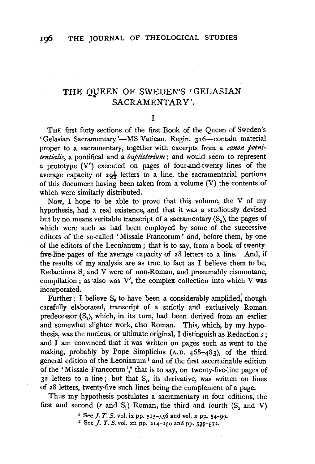# THE QUEEN OF SWEDEN'S 'GELASIAN SACRAMENTARY'.

#### I

THE first forty sections of the first Book of the Queen of Sweden's 'Gelasian Sacramentary '-MS Vatican. Regin. 316-contain material proper to a sacramentary, together with excerpts from a *canon poenitentialis,* a pontifical and a *baptisterium* ; and would seem to represent a prototype (V') executed on pages of four-and-twenty lines of the average capacity of  $29\frac{1}{2}$  letters to a line, the sacramentarial portions of this document having been taken from a volume (V) the contents of which were similarly distributed.

Now, I hope to be able to prove that this volume, the V of my hypothesis, had a real existence, and that it was a studiously devised but by no means veritable transcript of a sacramentary  $(S_2)$ , the pages of which were such as had been employed by some of the successive editors of the so-called 'Missale Francorum ' and, before them, by one of the editors of the Leonianum ; that is to say, from a book of twentyfive-line pages of the average capacity of 28 letters to a line. And, if the results of my analysis are as true to fact as I believe them to be, Redactions  $S_2$  and V were of non-Roman, and presumably cismontane, compilation ; as also was  $V'$ , the complex collection into which  $V$  was incorporated.

Further: I believe S, to have been a considerably amplified, though carefully elaborated, transcript of a strictly and exclusively Roman predecessor  $(S_1)$ , which, in its turn, had been derived from an earlier and somewhat slighter work, also Roman. This, which, by my hypothesis, was the nucleus, or ultimate original, I distinguish as Redaction *s;*  and I am convinced that it was written on pages such as went to the making, probably by Pope Simplicius (A. D. 468-483), of the third general edition of the Leonianum <sup>1</sup>and of the first ascertainable edition of the 'Missale Francorum',<sup>2</sup> that is to say, on twenty-five-line pages of  $3<sup>2</sup>$  letters to a line; but that S<sub>1</sub>, its derivative, was written on lines of 28 letters, twenty-five such lines being the complement of a page.

Thus my hypothesis postulates a sacramentary in four editions, the first and second (s and S<sub>1</sub>) Roman, the third and fourth  $(S_2$  and V)

1 See *J. T. S.* vol. ix pp. 515-556 and vol. x pp. 54-99.<br><sup>2</sup> See *J. T. S.* vol. xii pp. 214-250 and pp. 535-572.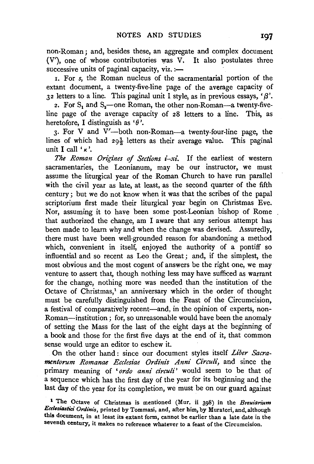non-Roman; and, besides these, an aggregate and complex document (V'), one of whose contributories was V. It also postulates three successive units of paginal capacity,  $viz$ . :-

1. For *s,* the Roman nucleus of the sacramentarial portion of the extant document, a twenty-five-line page of the average capacity of  $32$  letters to a line. This paginal unit I style, as in previous essays,  $\beta$ .

2. For  $S_1$  and  $S_2$ —one Roman, the other non-Roman—a twenty-fiveline page of the average capacity of 28 letters to a line. This, as heretofore, I distinguish as  $\theta$ <sup>'</sup>.

 $3.$  For V and V'-both non-Roman-a twenty-four-line page, the lines of which had  $29\frac{1}{2}$  letters as their average value. This paginal unit I call  $k$ .

*The Roman Origines of Sections i-xi.* If the earliest of western sacramentaries, the Leonianum, may be our instructor, we must assume the liturgical year of the Roman Church to have run parallel with the civil year as late, at least, as the second quarter of the fifth century; but we do not know when it was that the scribes of the papal scriptorium first made their liturgical year begin on Christmas Eve. Nor, assuming it to have been some post-Leonian bishop of Rome that authorized the change, am I aware that any serious attempt has been made to learn why and when the change was devised. Assuredly, there must have been well-grounded reason for abandoning a method which, convenient in itself, enjoyed the authority of a pontiff so influential and so recent as Leo the Great ; and, if the simplest, the most obvious and the most cogent of answers be the right one, we may venture to assert that, though nothing less may have sufficed as warrant for the change, nothing more was needed than the institution of the Octave of Christmas,<sup>1</sup> an anniversary which in the order of thought must be carefully distinguished from the Feast of the Circumcision, a festival of comparatively recent-and, in the opinion of experts, non-Roman-institution; for, so unreasonable would have been the anomaly of setting the Mass for the last of the eight days at the beginning of a book and those for the first five days at the end of it, that common sense would urge an editor to eschew it.

On the other hand : since our document styles itself *Liber Sacramentorum Romanae Ecclesiae Ordinis Anni Circuli,* and since the primary meaning of 'ordo anni circuli' would seem to be that of a sequence which has the first day of the year for its beginning and the last day of the year for its completion, we must be on our guard against

<sup>1</sup>The Octave of Christmas is mentioned (Mur. ii 398) in the *Breuiarium*  Ecclesiastici Ordinis, printed by Tommasi, and, after him, by Muratori, and, although this document, in at least its extant form, cannot be earlier than a late date in the seventh century, it makes no reference whatever to a feast of the Circumcision.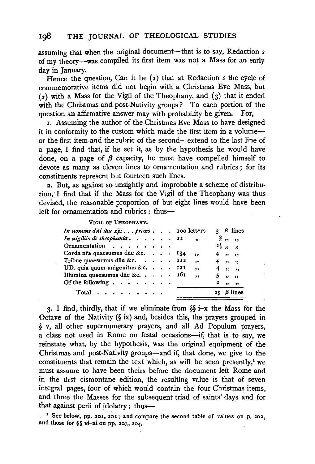assuming that when the original document-that is to say, Redaction  $s$ of my theory-was compiled its first item was not a Mass for an early day in January.

Hence the question, Can it be (1) that at Redaction *s* the cycle of commemorative items did not begin with a Christmas Eve Mass, but  $(2)$  with a Mass for the Vigil of the Theophany, and  $(3)$  that it ended with the Christmas and post-Nativity groups? To each portion of the question an affirmative answer may with probability be given. For,

r. Assuming the author of the Christmas Eve Mass to have designed it in conformity to the custom which made the first item in a volumeor the first item and the rubric of the second-extend to the last line of a page, I find that, if he set it, as by the hypothesis he would have done, on a page of  $\beta$  capacity, he must have compelled himself to devote as many as eleven lines to ornamentation and rubrics ; for its constituents represent but fourteen such lines.

2. But, as against' so unsightly and improbable a scheme of distribu· tion, I find that if the Mass for the Vigil of the Theophany was thus devised, the reasonable proportion of but eight lines would have been left for ornamentation and rubrics : thus-

VIGIL OF THEOPHANY.

| In nomine dni ihu xpi preces 100 letters                        |  |                         |                     | $3 \beta$ lines          |
|-----------------------------------------------------------------|--|-------------------------|---------------------|--------------------------|
| In uigiliis de theophania $22$ ,                                |  |                         | $\frac{2}{3}$ , , , |                          |
| Ornamentation                                                   |  |                         |                     | $2\frac{1}{3}$ , ,       |
| Corda n <del>ra</del> quaesumus due &c. $\cdot \cdot \cdot$ 134 |  | $\rightarrow$           |                     | $4 \t m \t m$            |
| Tribue quaesumus die &c. $\cdots$ $\cdots$ $\cdots$             |  | $\overline{\mathbf{z}}$ |                     | $4$ , $9$ , $9$          |
| UD, quia quum unigenitus & c. $\cdots$ 121                      |  | $\cdot$                 |                     | $4 \t m$                 |
| Illumina quaesumus d $\bar{a}$ e &c $\bar{a}$ 161               |  | $\ddot{\phantom{a}}$    |                     | $5 \t m$                 |
| Of the following $\cdots$ $\cdots$ $\cdots$                     |  |                         | 2                   | $\overline{\phantom{a}}$ |
| Total $\cdots$ $\cdots$                                         |  |                         |                     | $25$ $\beta$ lines       |

3. I find, thirdly, that if we eliminate from §§ i-x the Mass for the Octave of the Nativity  $(\S$  ix) and, besides this, the prayers grouped in *§* v, all other supernumerary prayers, and all Ad Populum prayers, a class not used in Rome on festal occasions-if, that is to say, we reinstate what, by the hypothesis, was the original equipment of the Christmas and post-Nativity groups-and if, that done, we give to the constituents that remain the text which, as will be seen presently,<sup>1</sup> we must assume to have been theirs before the document left Rome and in the first cismontane edition, the resulting value is that of seven integral pages, four of which would contain the four Christmas items, and three the Masses for the subsequent triad of saints' days and for that against peril of idolatry: thus-

1 See below, pp. 201, 202; and compare the second table of values on p. 202, and those for §§ vi-xi on pp. 203, 204.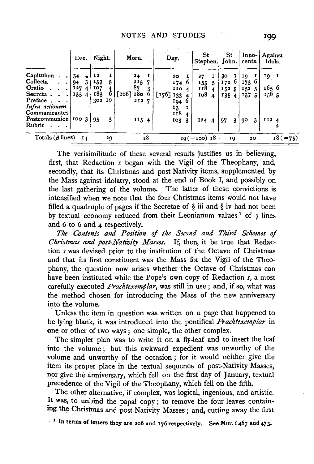|                                                                           | Eve.                     |    | Night.                            |    | Morn.                                     |   | Day.                                                   | St<br>Stephen. John.           |                      | St                          |    | cents.                           |   | Inno- Against<br>Idols.               |
|---------------------------------------------------------------------------|--------------------------|----|-----------------------------------|----|-------------------------------------------|---|--------------------------------------------------------|--------------------------------|----------------------|-----------------------------|----|----------------------------------|---|---------------------------------------|
| Capitulum<br>Collecta<br>Oratio.<br>Secreta.<br>Preface<br>Infra actionem | 34<br>94<br>I274<br>1334 | 3  | 12<br>153<br>107<br>183<br>302 10 | 6  | 24<br>225<br>87<br>$[206]$ $180$<br>212 7 | 6 | 20<br>- 1<br>1740<br>1204<br>$[176]$ 133<br>1946<br>13 | 27<br>155<br>118<br><b>108</b> | 5.<br>$\overline{4}$ | 30<br>1726<br>1525<br>135 4 |    | 10 I<br>173 6<br>152, 5<br>137.5 |   | $19 - 1$<br>165 6<br>150 <sub>5</sub> |
| Communicantes<br>Postcommunion 100 3<br>Rubric                            |                          |    | 95                                | 3  | II5 4                                     |   | 118 4<br>103.3                                         | 124 4                          |                      | 97 <sub>3</sub>             |    | 90                               | 3 | II24                                  |
| Totals ( $\beta$ lines)                                                   |                          | 14 |                                   | 20 | 28                                        |   |                                                        | $29 (=100)$ 18                 |                      |                             | 19 | 20                               |   | $18 (=75)$                            |

The verisimilitude of these several results justifies us in believing, first, that Redaction *s* began with the Vigil of the Theophany, and, secondly, that its Christmas and post-Nativity items, supplemented by the Mass against idolatry, stood at the end of Book I, and possibly on the last gathering of the volume. The latter of these convictions is intensified when we note that the four Christmas items would not have filled a quadruple of pages if the Secretae of  $\S$  iii and  $\S$  iv had not been by textual economy reduced from their Leonianum values<sup>1</sup> of 7 lines and 6 to 6 and 4 respectively.

*The Contents and Position qf the Second and Third Schemes* of *Christmas and post-Nativity Masses.* If, then, it be true that Redaction *s* was devised prior to the institution of the Octave of Christmas and that its first constituent was the Mass for the Vigil of the Theophany, the question now arises whether the Octave of Christmas can have been instituted while the Pope's own copy of Redaction *s,* a most carefully executed *Prachtexemplar,* was still in use ; and, if so, what was the method chosen for introducing the Mass of the new anniversary into the volume.

Unless the item in question was written on a page that happened to be lying blank, it was introduced into the pontifical *Prachtexemplar* in one or other of two ways; one simple, the other complex.

The simpler plan was to write it on a fly-leaf and to insert the leaf into the volume ; but this awkward expedient was unworthy of the volume and unworthy of the occasion ; for it would neither give the item its proper place in the textual sequence of post-Nativity Masses, nor give the anniversary, which fell on the first day of January, textual precedence of the Vigil of the Theophany, which fell on the fifth.

The other alternative, if complex, was logical, ingenious, and artistic. It was, to unbind the papal copy; to remove the four leaves containing the Christmas and post-Nativity Masses; and, cutting away the first

In terms of letters they are 206 and 176 respectively. See Mur. i 467 and 472.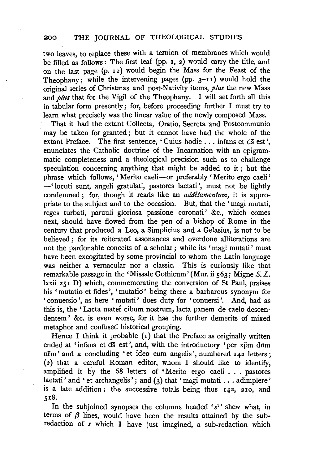two leaves, to replace these with a ternion of membranes which would be filled as follows : The first leaf (pp. 1, 2) would carry the title, and on the last page (p. 12) would begin the Mass for the Feast of the Theophany; while the intervening pages (pp.  $3-11$ ) would hold the original series of Christmas and post-Nativity items, *plus* the new Mass and *plus* that for the Vigil of the Theophany. I will set forth all this in tabular form presently; for, before proceeding further I must try to learn what precisely was the linear value of the newly composed Mass.

That it had the extant Collecta, Oratio, Secreta and Postcommunio may be taken for granted; but it cannot have had the whole of the extant Preface. The first sentence, 'Cuius hodie . . . infans et ds est', enunciates the Catholic doctrine of the Incarnation with an epigrammatic completeness and a theological precision such as to challenge speculation concerning anything that might be added to it ; but the phrase which follows, 'Merito caeli--or preferably 'Merito ergo caeli' -'locuti sunt, angeli gratulati, pastores laetati', must not be lightly condemned; for, though it reads like an *additamentum,* it is appropriate to the subject and to the occasion. But, that the 'magi mutati, reges turbati, paruuli gloriosa passione coronati' &c., which comes next, should have flowed from the pen of a bishop of Rome in the century that produced a Leo, a Simplicius and a Gelasius, is not to be believed ; for its reiterated assonances and overdone alliterations are not the pardonable conceits of a scholar ; while its 'magi mutati' must have been excogitated by some provincial to whom the Latin language was neither a vernacular nor a classic. This is curiously like that remarkable passage in the 'Missale Gothicum' (Mur. ii  $563$ ; Migne S. L. lxxii 251 D) which, commemorating the conversion of St Paul, praises his ' mutatio et fides', ' mutatio' being there a barbarous synonym for 'conuersio ', as here 'mutati' does duty for 'conuersi '. And, bad as this is, the ' Lacta mater cibum nostrum, lacta panem de caelo descendentem ' &c. is even worse, for it has the further demerits of mixed metaphor and confused historical grouping.

Hence I think it probable  $(i)$  that the Preface as originally written ended at 'infans et ds est', and, with the introductory 'per xpm dnm nrm' and a concluding 'et ideo cum angelis', numbered 142 letters ; (2) that a careful Roman editor, whom I should like to identify, amplified it by the 68 letters of ' Merito ergo caeli . . . pastores laetati' and ' et archangelis'; and  $(3)$  that 'magi mutati ... adimplere' is a late addition: the successive totals being thus 142, 210, and 518.

In the subjoined synopses the columns headed  $'s<sup>1</sup>$  shew what, in terms of  $\beta$  lines, would have been the results attained by the subredaction of *s* which I have just imagined, a sub-redaction which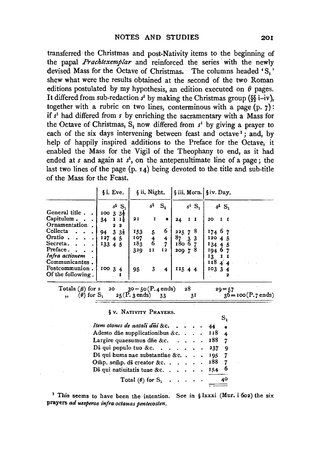transferred the Christmas and post-Nativity items to the beginning of the papal *Prachtexemplar* and reinforced the series with the newly devised Mass for the Octave of Christmas. The columns headed 'S,' shew what were the results obtained at the second of the two Roman editions postulated by my hypothesis, an edition executed on  $\theta$  pages. It differed from sub-redaction  $s<sup>1</sup>$  by making the Christmas group (§§ i-iv), together with a rubric on two lines, conterminous with a page  $(p, 7)$ : if s 1 had differed from *s* by enriching the sacramentary with a Mass for the Octave of Christmas,  $S_1$  now differed from  $s<sup>1</sup>$  by giving a prayer to each of the six days intervening between feast and octave<sup>1</sup>; and, by help of happily inspired additions to the Preface for the Octave, it enabled the Mass for the Vigil of the Theophany to end, as it had ended at *s* and again at  $s^1$ , on the antepenultimate line of a page; the last two lines of the page  $(p, 14)$  being devoted to the title and sub-title of the Mass for the Feast.

|                                                                         | §i. Eve.                                                         | § ii. Night.                                                              | siii. Morn. Siv. Day.                               |                                      |
|-------------------------------------------------------------------------|------------------------------------------------------------------|---------------------------------------------------------------------------|-----------------------------------------------------|--------------------------------------|
| General title.<br>Capitulum.                                            | $s1$ S.<br>$10033\frac{1}{2}$<br>$1\frac{1}{8}$<br>34            | s <sup>1</sup><br>$S_{1}$<br>I<br>22<br>٠                                 | $s^1$ S <sub>1</sub><br>1 I<br>24                   | $s^1$ S <sub>1</sub><br>20           |
| Ornamentation<br>Collecta<br>Oratio.<br>Secreta.<br>Preface.            | $2\,2$<br>$3\frac{1}{3}$<br>94<br>127<br>4 <sub>5</sub><br>13345 | 6<br>153<br>5<br>107<br>$\frac{4}{6}$<br>4<br>183<br>7<br>329<br>Ţ2<br>11 | 225, 78<br>8 <sub>7</sub><br>33<br>18067<br>200, 78 | 17467<br>12045<br>$134 + 5$<br>19467 |
| Infra actionem<br>Communicantes.<br>Postcommunion.<br>Of the following. | 10034                                                            | 3<br>95<br>4                                                              | 11544                                               | 13<br>1<br>11844<br>10334            |

| <br>ሰኮ<br>٠ | . .<br>--<br>ıds<br>-<br>ω | <br>33        | .<br>τοο (P. 7 ends)<br>30<br>- |
|-------------|----------------------------|---------------|---------------------------------|
|             |                            | _____________ |                                 |

 $S<sub>1</sub>$ 

#### § V, NATIVITY PRAYERS.

| Item oiones de natali dni &c. 44                           |  |  | $\rightarrow$           |
|------------------------------------------------------------|--|--|-------------------------|
| Adesto due supplicationibus & c. $\therefore$ 118          |  |  | $\overline{\mathbf{4}}$ |
| Largire quaesumus die &c. $\ldots$ 188                     |  |  | 7                       |
| Di qui populo tuo &c. 237                                  |  |  | 9                       |
| Ds qui huma nae substantiae &c. $\ldots$ , 195 7           |  |  |                         |
| Omp. semp. ds creator &c. $188$ 7                          |  |  |                         |
| Ds qui natiuitatis tuae &c. $\cdots$ $\cdots$ $\cdots$ 154 |  |  | 6                       |
| Total ( $\theta$ ) for $S_1 \ldots \ldots$                 |  |  |                         |

<sup>1</sup> This seems to have been the intention. See in  $\frac{1}{2}$  lxxxi (Mur. i 602) the six prayers *ad uesperos infra octauas pentecosten.*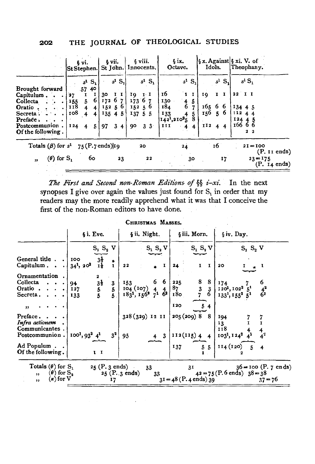|                                                                                                                     |                                 | ξyi.<br> St Stephen.                                                                                         | § vii.                            |                                      | § viii.<br>St John. Innocents.                                                   |                            | $\sin$<br>Octave.                                                      |                                             | Idols.                             |          | $ \S x.$ Against $\S xi.$ V. of<br>Theophany.                                                  |
|---------------------------------------------------------------------------------------------------------------------|---------------------------------|--------------------------------------------------------------------------------------------------------------|-----------------------------------|--------------------------------------|----------------------------------------------------------------------------------|----------------------------|------------------------------------------------------------------------|---------------------------------------------|------------------------------------|----------|------------------------------------------------------------------------------------------------|
| Brought forward<br>Capitulum<br>Collecta<br>Oratio.<br>Secreta :<br>Preface.<br>Postcommunion.<br>Of the following. | 27<br>155<br>118<br>108<br>I 24 | $s^1$ S <sub>1</sub><br>40<br>-57<br>-61<br>5 <sub>1</sub><br>$\overline{\mathbf{4}}$<br>4 I<br>4<br>-5<br>4 | 30<br>17267<br>15256<br>135<br>97 | $s^1$ $S_1$<br>п<br>45<br>$3\quad 4$ | 19.<br>$\mathbf{I} \cdot \mathbf{I}$<br>6.7<br>173<br>152, 56<br>137<br>55<br>90 | $s^1$ $S_1$<br>$3 \cdot 3$ | 16<br>130<br>184<br>133<br>142 <sup>1</sup> ,210 <sup>2</sup> 5<br>III | $s^1$ S.<br>$\bf{I}$<br>4<br>-5.<br>-5<br>4 | 10,<br>165 6 6<br>156, 56<br>I1244 | $s^1$ S. | s <sup>1</sup> S <sub>1</sub><br>$22$ I I<br>13445<br>112A<br>12445<br>16666<br>2 <sub>2</sub> |
| Totals ( $\beta$ ) for $s^1$ 75 (P.7 ends) 19<br>$(\theta)$ for $S$ ,<br>$\bullet$                                  |                                 | 60                                                                                                           |                                   | 23                                   | 20                                                                               | 22                         |                                                                        | 24<br>30                                    |                                    | 16<br>17 | $21 = 100$<br>$(P, II \text{ ends})$<br>$23 = 175$<br>$(P. I4 \text{ ends})$                   |

*The First and Second non-Roman Editions. of§§ i-xi.* In the next synopses I give over again the values just found for  $S<sub>1</sub>$  in order that my readers may the more readily apprehend what it was that I conceive the first of the non-Roman editors to have done.

|                                                                                       |                                                                                                                           | CHRISTMAS MASSES.                                                                            |                                            |                                                                                                                                                                                            |
|---------------------------------------------------------------------------------------|---------------------------------------------------------------------------------------------------------------------------|----------------------------------------------------------------------------------------------|--------------------------------------------|--------------------------------------------------------------------------------------------------------------------------------------------------------------------------------------------|
|                                                                                       | $6$ i. Eve.                                                                                                               | § ii. Night.                                                                                 | §iii. Morn.                                | §iv. Day.                                                                                                                                                                                  |
|                                                                                       | $S_1 S_2 V$                                                                                                               | $\mathbf{S_1}~\mathbf{S_2}~\mathbf{V}$                                                       | $S_1 S_2 V$                                | $S_1$ $S_2$ V                                                                                                                                                                              |
| General title $\ldots$<br>Capitulum                                                   | $3\frac{1}{2}$<br>$1\frac{1}{6}$<br>100<br>$\bullet$<br>$34^1$ , $20^2$<br>$\mathbf{I}$                                   | $\mathbf{I}$<br>22                                                                           | $\mathbf{I}$<br>24<br>$\mathbf{I}$         | 20 <sub>o</sub>                                                                                                                                                                            |
| Ornamentation.<br>Collecta<br>$\bullet$ . $\bullet$<br>Oratio<br>Secreta. $\cdots$    | $\mathbf{z}$<br>$\begin{array}{c} 3^{\frac{1}{3}} \\ 5 \\ 5 \end{array}$<br>3<br>94<br>$\frac{5}{5}$<br><b>I27</b><br>133 | $\begin{bmatrix} 153 & 6 & 6 \\ 104 & 107 & 4 & 4 \\ 183^1, 156^2 & 7^1 & 6^2 \end{bmatrix}$ | 225<br>$\frac{87}{180}$                    | $\begin{array}{c cc}\n8 & 8 & 174 & 7 \\ 3 & 3 & 120^1, 102^2 & 5^1 \\ 7 & 6 & 133^1, 155^2 & 5^1\n\end{array}$<br>$\frac{4^2}{6^2}$<br>133 <sup>1</sup> , 155 <sup>2</sup> 5 <sup>1</sup> |
| , ,<br>Preface<br>Infra actionem<br>Communicantes.                                    |                                                                                                                           | 328 (329) 12 11                                                                              | 120<br>205(209)8<br>- 8                    | 194<br>13<br>118<br>$\frac{4}{4}$ <sup>2</sup>                                                                                                                                             |
| Postcommunion.<br>Ad Populum.<br>Of the following.                                    | $3^2$<br>$100^1, 93^2, 4^1$<br>$\mathbf{I}$                                                                               | 95<br>$4 \quad 3$                                                                            | 112(115)44<br>55<br>137                    | $103^1$ , $124^2$ $4^1$<br>$114(120)$ 5<br>4                                                                                                                                               |
| Totals $(\theta)$ for $S_1$<br>$(\theta)$ for $S_a$<br>,<br>$(\kappa)$ for $V$<br>, , | 25 (P. 3 ends)<br>17                                                                                                      | 33 <sup>3</sup><br>25 (P. 3 ends)<br>33                                                      | 3 <sub>1</sub><br>$3I = 48$ (P. 4 ends) 39 | $36 = 100$ (P. 7 ends)<br>$42 = 75$ (P.6 ends) $38 = 38$<br>$37 = 76$                                                                                                                      |

and the contract of the contract of the contract of the contract of the contract of the contract of the contract of the contract of the contract of the contract of the contract of the contract of the contract of the contra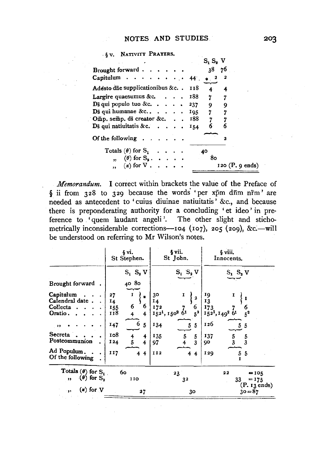. § V. NATIVITY PRAYERS.

|                                                                                             | $S_1 S_2 V$               |
|---------------------------------------------------------------------------------------------|---------------------------|
| Brought forward $\cdots$ $\cdots$                                                           | 38<br>76                  |
| Capitulum $\cdots$ $\cdots$ $\cdots$ 44                                                     | 2<br>$\bullet$ $\bullet$  |
| Adesto die supplicationibus &c. . 118                                                       | 4<br>4                    |
| Largire quaesumus &c. $\ldots$ 188                                                          | 7 7                       |
| $\overline{\mathrm{D}}\bar{\mathrm{s}}$ qui populo tuo &c. 237                              | $9 -$<br>-9               |
| $\mathbf{D}\bar{\mathbf{s}}$ qui humanae &c $\mathbf{I}^{0.5}$                              | 7<br>7                    |
| Omp. semp. ds creator &c. 188                                                               |                           |
| Ds qui natiuitatis & c. $\cdots$                                                            | 6.<br>6<br>154            |
| Of the following $\ldots$ , $\ldots$                                                        |                           |
| Totals $(\theta)$ for $S_1 \ldots$ .                                                        | 40                        |
| $\mathbf{y}$ , ( $\theta$ ) for $\mathbf{S}_2$ , $\mathbf{y}$ , $\mathbf{y}$ , $\mathbf{y}$ | 80                        |
| $\mathbf{y}$ , $(\kappa)$ for $V$                                                           | $120 (P, 9 \text{ ends})$ |

*Memorandum.* I correct within brackets the value of the Preface of § ii from  $328$  to  $329$  because the words 'per xpm dnm nrm' are needed as antecedent to 'cuius diuinae natiuitatis ' &c., and because there is preponderating authority for a concluding 'et ideo' in preference to 'quern laudant angeli '. The other slight and stichometrically inconsiderable corrections-104 (107), 205 (209), &c.-will be understood on referring to Mr Wilson's notes.

|                                                                                                                               | § vi.<br>St Stephen.                                                                                        | § vii.<br>St John.                                                                                                                                                                 | § viii.<br>Innocents.                                                                                                    |
|-------------------------------------------------------------------------------------------------------------------------------|-------------------------------------------------------------------------------------------------------------|------------------------------------------------------------------------------------------------------------------------------------------------------------------------------------|--------------------------------------------------------------------------------------------------------------------------|
|                                                                                                                               | $S_1$ $S_2$ V                                                                                               | $S_1$ $S_2$ V                                                                                                                                                                      | $S_1$ , $S_2$ , $V$                                                                                                      |
| Brought forward.                                                                                                              | 40 80                                                                                                       |                                                                                                                                                                                    |                                                                                                                          |
| Capitulum<br>Calendral date.<br>Collecta.<br>Oratio.<br>$, \,$<br>Secreta<br>Postcommunion<br>Ad Populum.<br>Of the following | 27<br>1<br>w.<br>14<br>6<br>6<br>155<br>118<br>4<br>147<br>6<br>-5<br>108<br>4<br>124<br>4<br>II7<br>4<br>4 | 30<br>I<br>$\overline{a}$<br>14<br>172<br>6<br>$5^2$<br>1521, 1502 61<br>134<br>5<br>5<br>135<br>5<br>5<br>3<br>97<br>II <sub>2</sub><br>$\overline{\mathbf{f}}$<br>$\overline{4}$ | 19<br>13<br>173<br>6<br>$5^2$<br>1521, 1492 61<br>126<br>5<br>5<br>137<br>$\frac{5}{3}$<br>5<br>3<br>90<br>129<br>5<br>5 |
|                                                                                                                               |                                                                                                             |                                                                                                                                                                                    |                                                                                                                          |
| Totals ( $\theta$ ) for $S_1$ .<br>$(\theta)$ for $S_n$<br>"                                                                  | 60<br>110                                                                                                   | 23<br>32                                                                                                                                                                           | $\bf{22}$<br>$=105$<br>$= 175$<br>33<br>(P. 13 ends)                                                                     |
| $(x)$ for $V$<br>$\bullet$                                                                                                    | 27                                                                                                          | 30                                                                                                                                                                                 | $30 = 87$                                                                                                                |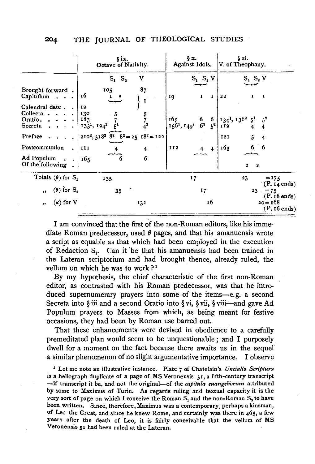|                                                                                               | ξix.<br>Octave of Nativity.                                                         | §χ.<br>Against Idols.                                           | 6 xi.<br>V. of Theophany.                                                |
|-----------------------------------------------------------------------------------------------|-------------------------------------------------------------------------------------|-----------------------------------------------------------------|--------------------------------------------------------------------------|
|                                                                                               | V<br>$S_1$ $S_2$                                                                    | $S_1$ $S_2$ V                                                   | $S_1$ , $S_2$ V                                                          |
| Brought forward.<br>$Capitulum \dots$                                                         | 87<br>105<br>16                                                                     | $\mathbf{I}$<br>$\bf{I}$<br>19                                  | 1<br>х<br>22                                                             |
| Calendral date .<br>$\sim$<br>$Collecta \t . \t .$<br>Oratio. $\cdots$<br>Secreta<br>$\cdots$ | 12<br>130<br>$\frac{5}{7}$<br>4 <sup>2</sup><br>183<br>$1331$ , $1242$              | $165$<br>$156$ <sup>1</sup> , $149$ <sup>2</sup> 6 <sup>1</sup> | $\begin{array}{c c} 6 & 134^1, 136^2 & 5^1 \\ 5^2 & 112 & 4 \end{array}$ |
| Preface .                                                                                     | $210^2$ , 518 <sup>3</sup> 8 <sup>2</sup> 8 <sup>2</sup> = 25 18 <sup>3</sup> = 122 |                                                                 | 5<br><b>I21</b><br>$\overline{4}$                                        |
| Postcommunion                                                                                 | III<br>4                                                                            | II <sub>2</sub><br>4                                            | 6 6<br>163                                                               |
| Ad Populum<br>Of the following                                                                | 6<br>165<br>n                                                                       |                                                                 | 2<br>$\overline{\mathbf{a}}$                                             |
| Totals ( $\theta$ ) for $S_1$                                                                 | 135                                                                                 | 17                                                              | 23<br>$= 175$                                                            |
| $(\theta)$ for $S_{\alpha}$<br>$\bullet$                                                      | 35                                                                                  | 17                                                              | $(P. I4 \text{ ends})$<br>$23 -$<br>$= 75$<br>$(P. 16$ ends)             |
| $(\kappa)$ for V<br>,                                                                         | 132                                                                                 | 16                                                              | $20 - 168$<br>$(P. 16 \text{ ends})$                                     |

I am convinced that the first of the non-Roman editors, like his immediate Roman predecessor, used  $\theta$  pages, and that his amanuensis wrote a script as equable as that which had been employed in the execution of Redaction S<sub>1</sub>. Can it be that his amanuensis had been trained in the Lateran scriptorium and had brought thence, already ruled, the vellum on which he was to work?<sup>1</sup>

By my hypothesis, the chief characteristic of the first non-Roman editor, as contrasted with his Roman predecessor, was that he introduced supernumerary prayers into some of the items-e.g. a second Secreta into §iii and a second Oratio into §vi, §vii, §viii-and gave Ad Populum prayers to Masses from which, as being meant for festive occasions, they had been by Roman use barred out.

That these enhancements were devised in obedience to a carefully premeditated plan would seem to be unquestionable; and I purposely dwell for a moment on the fact because there awaits us in the sequel a similar phenomenon of no slight argumentative importance. I observe

1 Let me note an illustrative instance. Plate 7 of Chatelain's *Uncialis Scriptura*  is a heliograph duplicate of a page of MS Veronensis 51, a fifth-century transcript -if transcript it be, and not the original-of the *capitula euangeliorum* attributed by some to Maximus of Turin. As regards ruling and textual capacity it is the very sort of page on which I conceive the Roman  $S_1$  and the non-Roman  $S_2$  to have been written. Since, therefore, Maximus was a contemporary, perhaps a kinsman, of Leo the Great, and since he knew Rome, and certainly was there in 465, a few years after the death of Leo, it is fairly conceivable that the vellum of MS Veronensis 51 had been ruled at the Lateran.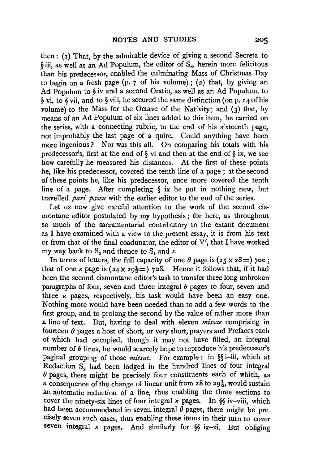then:  $(r)$  That, by the admirable device of giving a second Secreta to §iii, as well as an Ad Populum, the editor of S., herein more felicitous than his predecessor, enabled the culminating Mass of Christmas Day to begin on a fresh page (p. 7 of his volume); (2) that, by giving an Ad Populum to § iv and a second Oratio, as well as an Ad Populum, to § vi, to § vii, and to § viii, he secured the same distinction (on p. r 4 of his volume) to the Mass for the Octave of the Nativity; and  $(3)$  that, by means of an Ad Populum of six lines added to this item, he carried on the series, with a connecting rubric, to the end of his sixteenth page, not improbably the last page of a quire. Could anything have been more ingenious ? Nor was this all. On comparing his totals with his predecessor's, first at the end of  $\delta$  vi and then at the end of  $\delta$  ix, we see how carefully he measured his distances. At the first of these points he, like his predecessor, covered the tenth line of a page ; at the second of these points he, like his predecessor, once more covered the tenth line of a page. After completing  $\delta$  ix he put in nothing new, but travelled *pari passu* with the earlier editor to the end of the series.

Let us now give careful attention to the work of the second cismontane editor postulated by my hypothesis ; for here, as throughout so much of the sacramentarial contributory to the extant document as I have examined with a view to the present essay, it is from his text or from that of the final coadunator, the editor of V', that I have worked my way back to S<sub>2</sub> and thence to S<sub>1</sub> and *s*.

In terms of letters, the full capacity of one  $\theta$  page is ( $25 \times 28 =$ ) 700; that of one  $\kappa$  page is ( $24 \times 29\frac{1}{2}$ ) 708. Hence it follows that, if it had been the second cismontane editor's task to transfer three long unbroken paragraphs of four, seven and three integral  $\theta$  pages to four, seven and three  $\kappa$  pages, respectively, his task would have been an easy one. Nothing more would have been needed than to add a few words to the first group, and to prolong the second by the value of rather more than a line of text. But, having to deal with eleven *missae* comprising in fourteen  $\theta$  pages a host of short, or very short, prayers and Prefaces each of which had occupied, though it may not have filled, an integral number of  $\theta$  lines, he would scarcely hope to reproduce his predecessor's paginal grouping of those *missae.* For example : in §§ i-iii, which at Redaction S<sub>a</sub> had been lodged in the hundred lines of four integral  $\theta$  pages, there might be precisely four constituents each of which, as a consequence of the change of linear unit from  $28$  to  $29\frac{1}{2}$ , would sustain an automatic reduction of a line, thus enabling the three sections to cover the ninety-six lines of four integral  $\kappa$  pages. In §§ iv-viii, which had been accommodated in seven integral  $\theta$  pages, there might be precisely seven such cases, thus enabling these items in their turn to cover seven integral  $\kappa$  pages. And similarly for §§ ix-xi. But obliging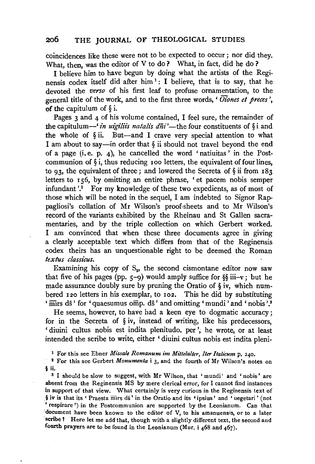coincidences like these were not to be expected to occur ; nor did they. What, then, was the editor of V to do? What, in fact, did he do?

I believe him to have begun by doing what the artists of the Reginensis codex itself did after him<sup>1</sup>: I believe, that is to say, that he devoted the *verso* of his first leaf to profuse ornamentation, to the general title of the work, and to the first three words, ' *Oiones et preces* ', of the capitulum of  $\delta$  i.

Pages 3 and 4 of his volume contained. I feel sure, the remainder of the capitulum-' *in uigiliis natalis*  $d\overline{n}i'$ -the four constituents of §*i* and the whole of  $\S$ ii. But-and I crave very special attention to what I am about to say—in order that  $\S$  ii should not travel beyond the end of a page (i. e. p. 4), he cancelled the word 'natiuitas' in the Postcommunion of  $\S$  i, thus reducing 100 letters, the equivalent of four lines, to 93, the equivalent of three; and lowered the Secreta of  $\S$  ii from 183 letters to 156, by omitting an entire phrase, 'et pacem nobis semper infundant '.<sup>2</sup> For my knowledge of these two expedients, as of most of those which will be noted in the sequel, I am indebted to Signor Rappagliosi's collation of Mr Wilson's proof-sheets and to Mr Wilson's record of the variants exhibited by the Rheinau and St Gallen sacramentaries, and by the triple collection on which Gerbert worked. I am convinced that when these three documents agree in giving a clearly acceptable text which differs from that of the Reginensis codex theirs has an unquestionable right to be deemed the Roman *textus classi'cus.* 

Examining his copy of  $S_n$ , the second cismontane editor now saw that five of his pages (pp.  $5-9$ ) would amply suffice for §§ iii-v; but he made assurance doubly sure by pruning the Oratio of § iv, which numbered 120 letters in his exemplar, to 102. This he did by substituting mirs ds' for 'quaesumus omp. ds' and omitting 'mundi'and 'nobis'.<sup>3</sup>

He seems, however, to have had a keen eye to dogmatic accuracy ; for in the Secreta of § iv, instead of writing, like his predecessors, ' diuini cultus nobis est indita plenitudo. per ', he wrote, or at least intended the scribe to write, either ' diuini cultus nobis est indita pleni-

1 For this see Ebner *Missale Romanum im Mittelalter, Iter Italicum* p. 240.

<sup>2</sup> For this see Gerbert *Monumenta* i 3, and the fourth of Mr Wilson's notes on § ii.

<sup>3</sup> I should be slow to suggest, with Mr Wilson, that 'mundi' and 'nobis' are absent from the Reginensis MS by mere clerical error, for I cannot find instances in support of that view. What certainly is very curious in the Reginensis text of  $\frac{1}{2}$  iv is that its ' Praesta mirs ds' in the Oratio and its 'ipsius' and 'uegetari' (not 'respirare ') in the Postcommunion are supported by the Leonianum. Can that document have been known to the editor of V, to his amanuensis, or to a later ·scribe *1* Here let me add that, though with a slightly different text, the second and fourth prayers are to be found in the Leonianum (Mur.  $i$  468 and 467).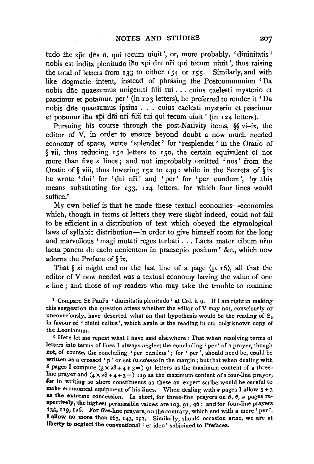tudo ihc xpc d $\bar{n}$ s  $\bar{n}$ , qui tecum uiuit', or, more probably, 'diuinitatis  $\bar{n}$ nobis est indita plenitudo ihu xpi dii ni qui tecum uiuit', thus raising the total of letters from 133 to either 154 or 155. Similarly, and with like dogmatic intent, instead of phrasing, the Postcommunion 'Da nobis diie quaesumus unigeniti filii tui ... cuius caelesti mysterio et pascimur et potamur. per' (in 103 letters), he preferred to render it 'Da nobis diie quaesumus ipsius . . . cuius caelesti mysterio et pascimur et potamur ihu xpi dni nri filii tui qui tecum uiuit' (in 124 letters).

Pursuing his course through the post-Nativity items, §§ vi-ix, the editor of V, in order to ensure beyond doubt a now much needed economy of space, wrote 'splendet ' for 'resplendet ' in the Oratio of §vii, thus reducing 152 letters to 150, the certain equivalent of not more than five  $\kappa$  lines; and not improbably omitted 'nos' from the Oratio of  $\S$  viii, thus lowering 152 to 149: while in the Secreta of  $\S$ ix he wrote 'dni' for 'dni nri' and 'per' for 'per eundem', by this means substituting for 133, 124 letters, for which four lines would suffice.<sup>2</sup>

My own belief is that he made these textual economies—economies which, though in terms of letters they were slight indeed, could not fail to be efficient in a distribution of text which obeyed the etymological laws of syllabic distribution-in order to give himself room for the long and marvellous 'magi mutati reges turbati . . . Lacta mater cibum nrm lacta panem de caelo uenientem in praesepio positum' &c., which now adorns the Preface of § ix.

That  $\S$  xi might end on the last line of a page (p. 16), all that the editor of V now needed was a textual economy having the value of one  $\kappa$  line; and those of my readers who may take the trouble to examine

1 Compare St Paul's ' diuinitatis plenitudo ' at Col. ii 9. If I am right in making this suggestion the question arises whether the editor of V may not, consciously or unconsciously, have deserted what on that hypothesis would be the reading of  $S<sub>2</sub>$ in favour of ' diuini cultus ', which again is the reading in our only known copy of the Leonianum.

<sup>2</sup> Here let me repeat what I have said elsewhere : That when resolving terms of letters into terms of lines I always neglect the concluding' per' of a prayer, though not, of course, the concluding 'per eundem' ; for ' per', should need be, could be written as a crossed 'p' or set *in extenso* in the margin; but that when dealing with  $\theta$  pages I compute  $(3 \times 28 + 4 + 3)$  or letters as the maximum content of a threeline prayer and  $(4 \times 28 + 4 + 3)$  119 as the maximum content of a four-line prayer, for in writing so short constituents as these an expert scribe would be careful to make economical equipment of his lines. When dealing with  $\kappa$  pages I allow  $5 + 3$ as the extreme concession. In short, for three-line prayers on  $\beta$ ,  $\theta$ ,  $\kappa$  pages respectively, the highest permissible values are 103, 9r, 96 ; andfor four-line prayers 135, 119, 126. For five-line prayers, on the contrary, which end with a mere ' per', I allow no more than  $163$ ,  $143$ ,  $151$ . Similarly, should occasion arise, we are at liberty to neglect the conventional ' et ideo ' subjoined to Prefaces.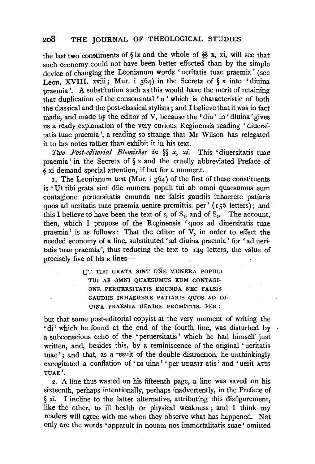the last two constituents of § ix and the whole of §§ x, xi, will see that such economy could not have been better effected than by the simple device of changing the Leonianum words 'ueritatis tuae praemia' (see Leon. XVIII. xviii; Mur. i  $364$ ) in the Secreta of § x into 'diuina praemia '. A substitution such as this would have the merit of retaining that duplication of the consonantal 'u' which is characteristic of both the Classical and the post-classical stylists ; and I believe that it was in fact made, and made by the editor of V, because the 'diu' in 'diuina' gives us a ready explanation of the very curious Reginensis reading ' diuersitatis tuae praemia ', a reading so strange that Mr Wilson has relegated it to his notes rather than exhibit it in his text.

*Two Post-editon·at Blemishes in* §§ *x, xi.* This 'diuersitatis tuae praemia ' in the Secreta of § x and the cruelly abbreviated Preface of § xi demand special attention, if but for a moment.

1. The Leonianum text (Mur. i 364) of the first of these constituents is 'Ut tibi grata sint dne munera populi tui ab omni quaesumus eum contagione peruersitatis emunda nee falsis gaudiis inhaerere patiaris quos ad ueritatis tuae praemia uenire promittis. per' ( 156 letters); and this I believe to have been the text of  $s<sub>i</sub>$ , of  $S<sub>i</sub>$ , and of  $S<sub>o</sub>$ . The account, then, which I propose of the Reginensis ' quos ad diuersitatis tuae praemia' is as follows: That the editor of V, in order to effect the needed economy of a line, substituted 'ad diuina praemia' for ' ad ueritatis tuae praemia ', thus reducing the text to 149 letters, the value of precisely five of his  $\kappa$  lines--

> UT TlBI GRATA SINT DNE MUNERA POPULI TUI AB OMNI QUAESUMUS EUM CONTAGI-ONE PERUERSITATIS EMUNDA NEC FALSIS GAUDIIS INHAERERE PATIARIS QUOS AD DI-UINA PRAEMIA UENIRE PROMITTIS. PER:

but that some post-editorial copyist at the very moment of writing the  $\cdot$  di' which he found at the end of the fourth line, was disturbed by , a subconscious echo of the 'peruersitatis' which he had himself just written, and, besides this, by a reminiscence of the original 'ueritatis tuae '; and that, as a result of the double distraction, he unthinkingly excogitated a conflation of' DI uina' 'per UERSIT atis' and 'uerit ATIS TUAE'.

2. A line thus wasted on his fifteenth page, a line was saved on his sixteenth, perhaps intentionally, perhaps inadvertently, in the Preface of § xi. I incline to the latter alternative, attributing this disfigurement, like the other, to ill health or physical weakness ; and I think my readers will agree with me when they observe what has happened. Not only are the words 'apparuit in nouam nos immortalitatis suae' omitted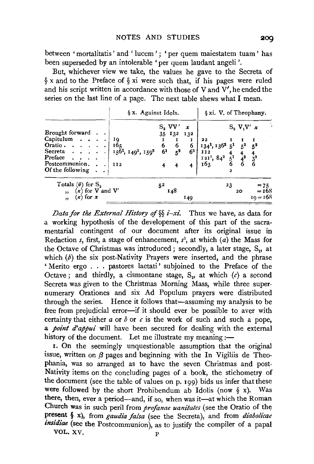between 'mortalitatis' and 'lucem'; 'per quem maiestatem tuam' has been superseded by an intolerable 'per quem laudant angeli'.

But, whichever view we take, the values he gave to the Secreta of § x and to the Preface of § xi were such that, if his pages were ruled and his script written in accordance with those of V and  $V'$ , he ended the series on the last line of a page. The next table shews what I mean.

|                                                                                                               | § x. Against Idols.                                               |                                  |                                                                     |                                                                                                                                                                                                          | § xi. V. of Theophany.    |                                 |
|---------------------------------------------------------------------------------------------------------------|-------------------------------------------------------------------|----------------------------------|---------------------------------------------------------------------|----------------------------------------------------------------------------------------------------------------------------------------------------------------------------------------------------------|---------------------------|---------------------------------|
| Brought forward<br>Capitulum<br>Oratio $\cdots$<br>Secreta<br>Preface<br>Postcommunion, .<br>Of the following | 19<br>165<br>$15\ddot{6}$ <sup>1</sup> , $149^2$ , $159^3$<br>112 | $S_2$ VV'<br>6<br>6 <sup>1</sup> | $\boldsymbol{x}$<br>35 132 132<br>6<br>6<br>$5^2$<br>6 <sup>3</sup> | 22<br>$\begin{array}{ccccccccc}\n\overline{134}^1, & 136^2 & 5^1 & 5^2 & 5^2 \\ \overline{112} & & 4 & 4 & 4 \\ \overline{121}^1, & 84^2 & 5^1 & 4^2 & 3^3 \\ \overline{163} & & 6 & 6 & 6\n\end{array}$ | $S_2$ V <sub>1</sub> V' x |                                 |
| Totals ( $\theta$ ) for $S_2$<br>$(\kappa)$ for V and V'<br>,<br>$(\kappa)$ for $x$<br>,                      |                                                                   | 52<br>148                        | 149                                                                 |                                                                                                                                                                                                          | 23<br>20                  | $= 75$<br>$= 168$<br>$10 = 168$ |

*Data for the External History of§§ i-xi.* Thus we have, as data for a working hypothesis of the developement of this part of the sacramentarial contingent of our document after its original issue in Redaction *s*, first, a stage of enhancement,  $s^1$ , at which (a) the Mass for the Octave of Christmas was introduced; secondly, a later stage, S<sub>1</sub>, at which  $(b)$  the six post-Nativity Prayers were inserted, and the phrase ' Merito ergo . . . pastores laetati' subjoined to the Preface of the Octave; and thirdly, a cismontane stage,  $S_{\alpha}$ , at which  $(c)$  a second Secreta was given to the Christmas Morning Mass, while three supernumerary Orationes and six Ad Populum prayers were distributed through the series. Hence it follows that-assuming my analysis to be free from prejudicial error-if it should ever be possible to aver with certainty that either  $a$  or  $b$  or  $c$  is the work of such and such a pope, a *point d'appui* will have been secured for dealing with the external history of the document. Let me illustrate my meaning:—

1. On the seemingly unquestionable assumption that the original issue, written on  $\beta$  pages and beginning with the In Vigiliis de Theophania, was so arranged as to have the seven Christmas and post-Nativity items on the concluding pages of a book, the stichometry of the document (see the table of values on p. 199) bids us infer that these were followed by the short Prohibendum ab Idolis (now *§* x). Was there, then, ever a period-and, if so, when was it-at which the Roman Church was in such peril from *profanae uanitates* (see the Oratio of the present § x), from *gaudia falsa* (see the Secreta), and from *diabolicae insidiae* (see the Postcommunion), as to justify the compiler of a papal VOL. XV.  $\mathbb{V}_{\mathbf{p}}$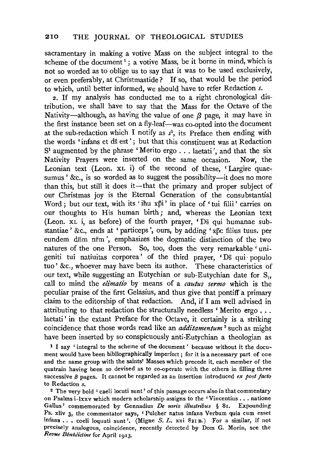sacramentary in making a votive Mass on the subject integral to the scheme of the document<sup>1</sup>; a votive Mass, be it borne in mind, which is not so worded as to oblige us to say that it was to be used exclusively, or even preferably, at Christmastide? If so, that would be the period to which, until better informed, we should have to refer Redaction *s.* 

2. If my analysis has conducted me to a right chronological distribution, we shall have to say that the Mass for the Octave of the Nativity-although, as having the value of one  $\beta$  page, it may have in the first instance been set on a fly-leaf-was co-opted into the document at the sub-redaction which I notify as *s1,* its Preface then ending with the words 'infans et ds est'; but that this constituent was at Redaction S<sup>1</sup> augmented by the phrase 'Merito ergo . . . laetati', and that the six Nativity Prayers were inserted on the same occasion. Now, the Leonian text (Leon. XL i) of the second of these, 'Largire quaesumus ' &c., is so worded as to suggest the possibility—it does no more than this, but still it does it-that the primary and proper subject of our Christmas joy is the Eternal Generation of the consubstantial Word: but our text, with its 'ihu xpi' in place of 'tui filii' carries on our thoughts to His human birth ; and, whereas the Leonian text (Leon. xL i, as before) of the fourth prayer, 'Ds qui humanae substantiae ' &c., ends at ' particeps ', ours, by adding 'xpc filius tuus. per eundem dnm nrm', emphasizes the dogmatic distinction of the two natures of the one Person. So, too, does the very remarkable' unigeniti tui natiuitas corporea' of the third prayer, 'Ds qui · populo tuo' &c., whoever may have been its author. These characteristics of our text, while suggesting an Eutychian or sub-Eutychian date for  $S<sub>1</sub>$ , call to mind the *elimatio* by means of a *cautus sermo* which is the peculiar praise of the first Gelasius, and thus give that pontiff a primary claim to the editorship of that redaction. And, if I am well advised in attributing to that redaction the structurally needless 'Merito ergo ... laetati' in the extant Preface for the Octave, it certainly is a striking coincidence that those words read like an *additamentum* 2 such as might have been inserted by so conspicuously anti-Eutychian a theologian as

1 I say 'integral to the scheme of the document' because without it the document would have been bibliographically imperfect ; for it is a necessary part of one and the same group with the saints' Masses which precede it, each member of the quatrain having been so devised as to co-operate with the others in filling three successive  $\beta$  pages. It cannot be regarded as an insertion introduced *ex post facto* to Redaction *s.* 

<sup>2</sup> The very bold ' caeli locuti sunt' of this passage occurs also in that commentary on Psalms i-lxxv which modern scholarship assigns to the 'Vincentius . . . natione Gallus' commemorated by Gennadius *De urris illustribus* § 81. Expounding Ps. xliv 3, the commentator says, 'Pulcher natus infans Verbum quia cum esset infans ..• coeli loquuti sunt '. (Migne 5. L. xxi 821 B.) For a similar, if not precisely analogous, coincidence, recently detected by Dom G. Morin, see the *Revue Bénédictine* for April 1913.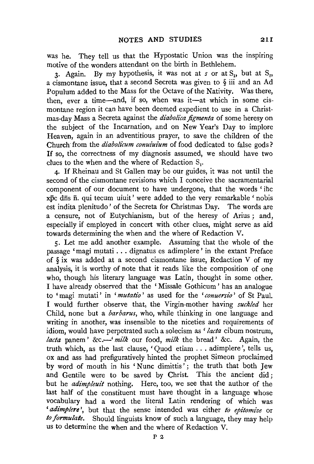was he. They tell us that the Hypostatic Union was the inspiring motive of the wonders attendant on the birth in Bethlehem.

3. Again. By my hypothesis, it was not at *s* or at S<sub>1</sub>, but at S<sub>2</sub>, a cismontane issue, that a second Secreta was given to § iii and an Ad Populum added to the Mass for the Octave of the Nativity. Was there, then, ever a time-and, if so, when was it-at which in some cismontane region it can have been deemed expedient to use in a Christmas-day Mass a Secreta against the *diabolica figmenta* of some heresy on the subject of the Incarnation, and on New Year's Day to implore Heaven, again in an adventitious prayer, to save the children of the Church from the *diabolicum conuiuium* of food dedicated to false gods? If so, the correctness of my diagnosis assumed, we should have two clues to the when and the where of Redaction S.

4. If Rheinau and St Gallen may be our guides, it was not until the second of the cismontane revisions which I conceive the sacramentarial component of our document to have undergone, that the words 'ihc xpc dfis fi. qui tecum uiuit' were added to the very remarkable 'nobis est indita plenitudo' of the Secreta for Christmas Day. The words are a censure, not of Eutychianism, but of the heresy of Arius ; and, especially if employed in concert with other clues, might serve as aid towards determining the when and the where of Redaction V.

5. Let me add another example. Assuming that the whole of the passage 'magi mutati ... dignatus es adimplere' in the extant Preface of § ix was added at a second cismontane issue, Redaction V of my analysis, it is worthy of note that it reads like the composition of one who, though his literary language was Latin, thought in some other. I have already observed that the 'Missale Gothicum' has an analogue to 'magi mutati' in '*mutatio*' as used for the '*conuersio*' of St Paul. I would further observe that, the Virgin-mother having *suckled* her Child, none but a *barbarus,* who, while thinking in one language and writing in another, was insensible to the niceties and requirements of idiom, would have perpetrated such a solecism as *'lacta* cibum nostrum, *lacta* panem ' &c.-' *milk* our food, *milk* the bread ' &c. Again, the truth which, as the last clause, ' Quod etiam ... adimplere ', tells us, ox and ass had prefiguratively hinted the prophet Simeon proclaimed by word of mouth in his 'Nunc dimittis'; the truth that both Jew and Gentile were to be saved by Christ. This the ancient did: but he *adimpleuit* nothing. Here, too, we see that the author of the last half of the constituent must have thought in a language whose vocabulary had a word the literal Latin rendering of which was *'adimplere* ', but that the sense intended was either *to epitomize* or *to formulate.* Should linguists know of such a language, they may help us to determine the when and the where of Redaction V.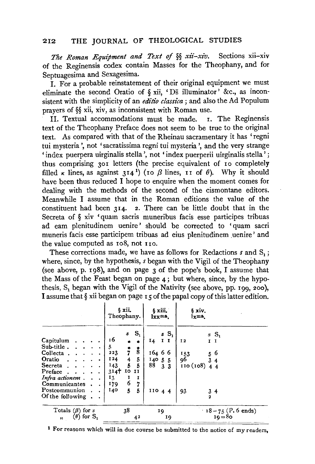*The Roman Equipment and Text of* §§ *xii-xiv.* Sections xii-xiv of the Reginensis codex contain Masses for the Theophany, and for Septuagesima and Sexagesima.

I. For a probable reinstatement of their original equipment we must eliminate the second Oratio of  $\S$  xii, 'Ds illuminator' &c., as inconsistent with the simplicity of an *editio classica*; and also the Ad Populum prayers of §§ xii, xiv, as inconsistent with Roman use.<br>II. Textual accommodations must be made. I. The Reginensis

II. Textual accommodations must be made. text of the Theophany Preface does not seem to be true to the original text. As compared with that of the Rheinau sacramentary it has 'regni tui mysteria ', not 'sacratissima regni tui mysteria ', and the very strange 'index puerpera uirginalis stella ', not 'index puerperii uirginalis stella' ; thus comprising 301 letters (the precise equivalent of 10 completely filled  $\kappa$  lines, as against 314<sup>1</sup>) (10  $\beta$  lines, 11 of  $\theta$ ). Why it should have been thus reduced I hope to enquire when the moment comes for dealing with the methods of the second of the cismontane editors. Meanwhile I assume that in the Roman editions the value of the constituent had been  $3I_4$ . 2. There can be little doubt that in the Secreta of § xiv 'quam sacris muneribus facis esse participes tribuas ad earn plenitudinem uenire' should be corrected to 'quam sacri muneris facis esse participem tribuas ad eius plenitudinem uenire' and the value computed as 108, not rro.

These corrections made, we have as follows for Redactions *s* and S<sub>1</sub> ; where, since, by the hypothesis, *s* began with the Vigil of the Theophany (see above, p. 198), and on page  $3$  of the pope's book, I assume that the Mass of the Feast began on page 4; but where, since, by the hypothesis, S, began with the Vigil of the Nativity (see above, pp. 199, 200), I assume that § xii began on page 15 of the papal copy of this latter edition.

|                                                                                                                                                                          | 6 xii.<br>Theophany.                                                                                                                                                                                                                            | § xiii.<br>lxxma.                                                               | 6 xiv.<br>$_{\rm kms}$                                                                                                    |
|--------------------------------------------------------------------------------------------------------------------------------------------------------------------------|-------------------------------------------------------------------------------------------------------------------------------------------------------------------------------------------------------------------------------------------------|---------------------------------------------------------------------------------|---------------------------------------------------------------------------------------------------------------------------|
| Capitulum.<br>Sub-title $\cdots$<br>Collecta<br>Oratio $\cdots$<br>Secreta $\cdots$<br>Preface<br>Infra actionem.<br>Communicantes<br>Postcommunion.<br>Of the following | $sS_1$<br>16<br>$\star$ $\star$<br>5.<br>$\frac{1}{7}$<br>$\mathring{\mathbf{g}}$<br>223<br>5 <sub>1</sub><br>124<br>$\frac{4}{5}$<br>- 5<br>143<br>$314+$ 10<br>II<br>13<br>1<br>1<br>6<br>$\overline{7}$<br>179<br>$\overline{5}$<br>140<br>5 | $sS_1$<br>$I_4$<br>$I$ I<br>16466<br>140, 5, 5<br>88<br>3 <sub>3</sub><br>11044 | $sS_1$<br>I <sub>2</sub><br>$I$ $I$<br>$\begin{array}{r} 56 \\ 34 \end{array}$<br>153<br>96<br>110(108)<br>44<br>93<br>34 |
| Totals $(\beta)$ for s<br>$(\theta)$ for $S_1$<br>$\overline{\mathbf{r}}$                                                                                                | 38<br>42                                                                                                                                                                                                                                        | 19<br>19                                                                        | $18 = 75$ (P. 6 ends)<br>$10 = 80$                                                                                        |

The course of the submitted to the notice of my readers,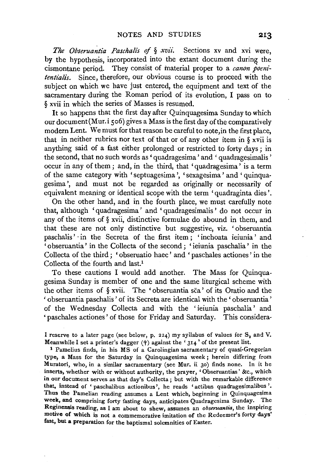*The Obseruantia Paschalis* of § *xvii.* Sections xv and xvi were, by the hypothesis, incorporated into the extant document during the cismontane period. They consist of material proper to a *canon poenz'* tentialis. Since, therefore, our obvious course is to proceed with the subject on which we have just entered, the equipment and text of the sacramentary during the Roman period of its evolution, I pass on to § xvii in which the series of Masses is resumed.

It so happens that the first day after Quinquagesima Sunday to which our document(Mur.i 506) gives a Mass is the first day of the comparatively modern Lent. We must for that reason be careful to note,in the first place, that in neither rubrics nor text of that or of any other item in § xvii is anything said of a fast either prolonged or restricted to forty days; in the second, that no such words as' quadragesima' and 'quadragesimalis' occur in any of them ; and, in the third, that 'quadragesima' is a term of the same category with 'septuagesima ', 'sexagesima' and ' quinquagesima ', and must not be regarded as originally or necessarily of equivalent meaning or identical scope with the term 'quadraginta dies'.

On the other hand, and in the fourth place, we must carefully note that, although 'quadragesima' and ' quadragesimalis ' do not occur in any of the items of§ xvii, distinctive formulae do abound in them, and that these are not only distinctive but suggestive, viz. ' obseruantia paschalis' in the Secreta of the first item; 'inchoata ieiunia' and ' obseruantia' in the Collecta of the second ; 'ieiunia paschalia ' in the Collecta of the third; 'obseruatio haec' and ' paschales actiones' in the Collecta of the fourth and last.<sup>1</sup>

To these cautions I would add another. The Mass for Quinquagesima Sunday is member of one and the same liturgical scheme with the other items of § xvii. The 'obseruantia sca' of its Oratio and the 'obseruantia paschalis' of its Secreta are identical with the' obseruantia' of the Wednesday Collecta and with the 'ieiunia paschalia' and 'paschales actiones' of those for Friday and Saturday. This considera-

I reserve to a later page (see below, p. 224) my syllabus of values for  $S_2$  and V. Meanwhile I set a printer's dagger  $(+)$  against the '  $314$ ' of the present list.<br><sup>1</sup> Pamelius finds, in his MS of a Carolingian sacramentary of quasi-Gregorian

type, a Mass for the Saturday in Quinquagesima week ; herein differing from Muratori, who, in a similar sacramentary (see Mur. ii 30) finds none. In it he inserts, whether with or without authority, the prayer, 'Obseruantias' &c., which in our document serves as that day's Collecta ; but with the remarkable difference that, instead of ' paschalibus actionibus ', he reads ' actibus quadragesimalibus '. Thus the Pamelian reading assumes a Lent which, beginning in Quinquagesima week, and comprising forty fasting days, anticipates Quadragesima Sunday. The Reginensis reading, as I am about to shew, assumes an *obseruantia*, the inspiring motive of which is not a commemorative imitation of the Redeemer's forty days' fast, **but a** preparation for the baptismal solemnities of Easter.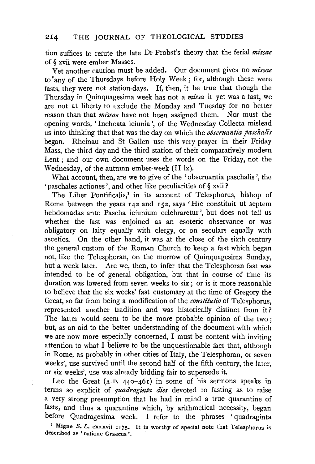tion suffices to refute the late Dr Probst's theory that the ferial *missae*  of § xvii were ember Masses.

Yet another caution must be added. Our document gives no *missae*  to 'any of the Thursdays before Holy Week; for, although these were fasts, they were not station-days. If, then, it be true that though the Thursday in Quinquagesima week has not a *missa* it yet was a fast, we are not at liberty to exclude the Monday and Tuesday for no better<br>reason than that *missae* have not been assigned them. Nor must the reason than that *missae* have not been assigned them. opening words, ' Inchoata ieiunia ', of the Wednesday Collecta mislead us into thinking that that was the day on which the *obseruantia paschalis*  began. Rheinau and St Gallen use this very prayer in their Friday Mass, the third day and the third station of their comparatively modern Lent ; and our own document uses the words on the Friday, not the Wednesday, of the autumn ember-week (II lx).

What account, then, are we to give of the 'obseruantia paschalis ', the 'paschales actiones ', and other like peculiarities of § xvii?

The Liber Pontificalis,<sup>1</sup> in its account of Telesphorus, bishop of Rome between the years 142 and 152, says 'Hie constituit ut septem hebdomadas ante Pascha ieiunium celebraretur ', but does not tell us whether the fast was enjoined as an esoteric observance or was obligatory on laity equally with clergy, or on seculars equally with ascetics. On the other hand, it was at the close of the sixth century the general custom of the Roman Church to keep a fast which began not, like the Telesphoran, on the morrow of Quinquagesima Sunday, but a week later. Are we, then, to infer that the Telesphoran fast was intended to be of general obligation, but that in course of time its duration was lowered from seven weeks to six; or is it more reasonable to believe that the six weeks' fast customary at the time of Gregory the Great, so far from being a modification of the *constitutio* of Telesphorus, represented another tradition and was historically distinct from it? The latter would seem to be the more probable opinion of the two ; but, as an aid to the better understanding of the document with which we are now more especially concerned, I must be content with inviting attention to what I believe to be the unquestionable fact that, although in Rome, as probably in other cities of Italy, the Telesphoran, or seven weeks', use survived until the second half of the fifth century, the later, or six weeks', use was already bidding fair to supersede it.

Leo the Great (A.D. 440-461) in some of his sermons speaks in terms so explicit of *quadraginta dies* devoted to fasting as to raise a very strong presumption that he had in mind a true quarantine of fasts, and thus a quarantine which, by arithmetical necessity, began before Quadragesima week. I refer to the phrases 'quadraginta <sup>1</sup> Migne S. L. cxxxvii 1175. It is worthy of special note that Telesphorus is described as 'natione Graecus '.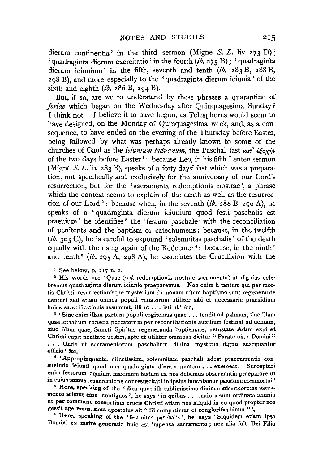dierum continentia' in the third sermon (Migne *S. L.* liv 273 D); ' quadraginta dierum exercitatio' in the fourth  $(i\delta$ . 275 B); ' quadraginta dierum ieiunium' in the fifth, seventh and tenth (ib. 283 B, 288 B, 298 B), and more especially to the 'quadraginta dierum ieiunia' of the sixth and eighth  $(i\delta$ . 286 B, 294 B).

But, if so, are we to understand by these phrases a quarantine of *feriae* which began on the Wednesday after Quinquagesima Sunday ? I think not. I believe it to have begun, as Telesphorus would seem to have designed, on the Monday of Quinquagesima week, and, as a consequence, to have ended on the evening of the Thursday before Easter, being followed by what was perhaps already known to some of the churches of Gaul as the *ieiunium biduanum*, the Paschal fast  $\kappa a \tau^2 \epsilon \xi \gamma \gamma \gamma \nu$ of the two days before Easter<sup>1</sup>: because Leo, in his fifth Lenten sermon (Migne *S. L.* liv 283 B), speaks of a forty days' fast which was a preparation, not specifically and exclusively for the anniversary of our Lord's resurrection, but for the 'sacramenta redemptionis nostrae ', a phrase which the context seems to explain of the death as well as the resurrection of our Lord<sup>2</sup>: because when, in the seventh  $(i\delta$ , 288 B-290 A), he speaks of a 'quadraginta dierum ieiunium quod festi paschalis est praeuium ' he identifies <sup>3</sup> the ' festum paschale' with the reconciliation of penitents and the baptism of catechumens : because, in the twelfth *(ib.* 305 C), he is careful to expound 'solemnitas paschalis' of the death equally with the rising again of the Redeemer<sup>4</sup>: because, in the ninth<sup>5</sup> and tenth<sup>6</sup> (ib. 295 A, 298 A), he associates the Crucifixion with the

1 See below, p. 217 n. 2.

<sup>2</sup> His words are 'Quae (scil. redemptionis nostrae sacramenta) ut dignius celebremus quadraginta dierum ieiunio praeparemus. Non enim ii tantum qui per mortis Christi resurrectionisque mysterium in nouam uitam baptismo sunt regenerante uenturi sed etiam omnes populi renatorum utiliter sibi et necessarie praesidium huius sanctificationis assumunt, illi ut ... isti ut ' &c.<br><sup>3</sup> ' Siue enim illam partem populi cogitemus quae ... tendit ad palmam, siue illam

quae lethalium conscia peccatorum per reconciliationis auxilium festinat ad ueniam, siue illam quae, Sancti Spiritus regeneranda baptismate, uetustate Adam exui et Christi cupit nouitate uestiri, apte et utiliter omnibus dicitur " Parate uiam Domini" . • • Unde ut sacramentorum paschalium diuina mysteria digno suscipiantur officio ' &c.

' 'Appropinquante, dilectissimi, solemnitate paschali adest praecurrentis consuetudo ieiunii quod nos quadraginta dierum numero ... exerceat. Suscepturi enim festorum omnium maximum festum ea nos debemus obseruantia praeparare ut in cuius sumus resurrectione conresuscitati in ipsius inueniamur passione commortui.' 5 Here, speaking of the ' dies quos illi sublimissimo diuinae misericordiae sacra-

mento scimus esse contiguos ', he says ' in quibus ... maiora sunt ordinata ieiunia ut per commune consortium crucis Christi etiam nos aliquid in eo quod propter nos gessit ageremus, sicut apostolus ait " Si compatimur et conglorificabimur"',

<sup>6</sup> Here, speaking of the 'festiuitas paschalis', he says ' Siquidem etiam ipsa Domini ex matre generatio huic est impensa sacramento ; nec alia fuit Dei Filio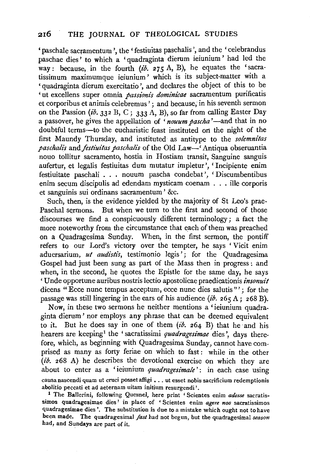' paschale sacramentum', the 'festiuitas paschalis', and the 'celebrandus paschae dies' to which a ' quadraginta dierum ieiunium ' had led the way: because, in the fourth  $(ib. 275 \text{ A}, \text{ B})$ , he equates the 'sacratissimum maximumque ieiunium' which is its subject-matter with a 'quadraginta dierum exercitatio ', and declares the object of this to be ' ut excellens super omnia *passionis dominicae* sacramentum purificatis et corporibus et animis celebremus'; and because, in his seventh sermon on the Passion (ib. 332 B, C; 333 A, B), so far from calling Easter Day a passover, he gives the appellation of 'nouum pascha'—and that in no doubtful terms-to the eucharistic feast instituted on the night of the first Maundy Thursday, and instituted as antitype to the *solemnitas*  paschalis and *festiuitas paschalis* of the Old Law-' Antiqua obseruantia nouo tollitur sacramento, hostia in Hostiam transit, Sanguine sanguis aufertur, et legalis festiuitas dum mutatur impletur ', 'Incipiente enim festiuitate paschali . . . nouum pascha condebat ', ' Discumbentibus enim secum discipulis ad edendam mysticam coenam . . . ille corporis et sanguinis sui ordinans sacramentum ' &c.

Such, then, is the evidence yielded by the majority of St Leo's prae-Paschal sermons. But when we turn to the first and second of those discourses we find a conspicuously different terminology; a fact the more noteworthy from the circumstance that each of them was preached on a Quadragesima Sunday. When, in the first sermon, the pontiff refers to our Lord's victory over the tempter, he says 'Vicit enim aduersarium, *ut audistis*, testimonio legis'; for the Quadragesima Gospel had just been sung as part of the Mass then in progress : and when, in the second, he quotes the Epistle for the same day, he says 'Unde opportune auribus nostris lectio apostolicae praedicationis *insonuit*  dicens "Ecce nunc tempus acceptum, ecce nunc dies salutis"'; for the passage was still lingering in the ears of his audience (ib. 265 A; 268 B).

Now, in these two sermons he neither mentions a 'ieiunium quadraginta dierum' nor employs any phrase that can be deemed equivalent to it. But he does say in one of them  $(i\delta, 264, B)$  that he and his hearers are keeping<sup>1</sup> the 'sacratissimi *quadragesimae* dies', days therefore, which, as beginning with Quadragesima Sunday, cannot have comprised as many as forty feriae on which to fast: while in the other  $(ib. 268 \text{ A})$  he describes the devotional exercise on which they are about to enter as a 'ieiunium *quadragesimale*': in each case using causanascendi quam ut cruci possetaffigi •.. ut esset nobis sacrificium redemptionis abolitio peccati et ad aeternam uitam initium resurgendi '.

<sup>1</sup>The Ballerini, following Quesnel, here print ' Scientes enim *adesse* sacratissimos quadragesimae dies' in place of ' Scientes enim *agere nos* sacratissimos quadragesimae dies'. The substitution is due to a mistake which ought not to have been made. The quadragesimal *fast* had not begun, but the quadragesimal *season*  had, and Sundays are part of it.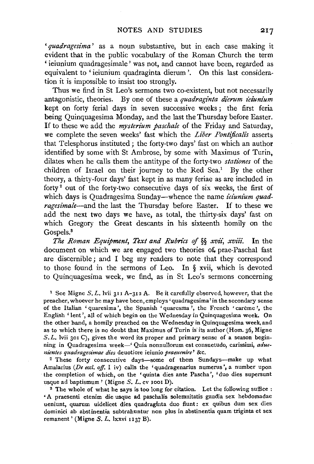'quadragesima' as a noun substantive, but in each case making it evident that in the public vocabulary of the Roman Church the term ' ieiunium quadragesimale' was not, and cannot have been, regarded as equivalent to 'ieiunium quadraginta dierum '. On this last consideration it is impossible to insist too strongly.

Thus we find in St Leo's sermons two co-existent, but not necessarily antagonistic, theories. By one of these a *quadraginta dierum ieiunium* kept on forty ferial days in seven successive weeks ; the first feria being Quinquagesima Monday, and the last the Thursday before Easter. If to these we add the *mysterium paschale* of the Friday and Saturday, we complete the seven weeks' fast which the *Liber Pontijicalis* asserts that Telesphorus instituted; the forty-two days' fast on which an author identified by some with St Ambrose, by some with Maximus of Turin, dilates when he calls them the antitype of the forty-two *stationes* of the children of Israel on their journey to the Red Sea.<sup>1</sup> By the other theory, a thirty-four days' fast kept in as many feriae as are included in forty 2 out of the forty-two consecutive days of six weeks, the first of which days is Quadragesima Sunday—whence the name *ieiunium quadragesimale-and* the last the Thursday before Easter. If to these we add the next two days we have, as total, the thirty-six days' fast on which Gregory the Great descants in his sixteenth homily on the Gospels.<sup>8</sup>

*The Roman Equipment, Text and Rubrics of* §§ *xvii, xviii.* In the document on which we are engaged two theories of prae-Paschal fast are discernible; and I beg my readers to note that they correspond to those found in the sermons of Leo. In § xvii, which is devoted to Quinquagesima week, we find, as in St Leo's sermons concerning

1 See Migne *5.* L. !vii 311 A-312 A. Be it carefully observed, however, that the  $\frac{1}{2}$  been might between, who have been calculary observed, however, that the eacher, whoever he inay have been, employs 'quadragesima' in the secondary sense the Italian ' quaresima, the spanish ' quaresima', the French ' careme', the English 'lent', all of which begin on the Wednesday in Quinquagesima week. On the other hand, a homily preached on the Wednesday in Quinquagesima week, and as to which there is no doubt that Maximus of Turin is its author (Hom. 36, Migne  $S.L.$  lyii 301 C), gives the word its proper and primary sense of a season beginning in Quadragesima week-' Quia nonnullorum est consuetudo, carissimi, *aduenientes quadragesimae dies* deuotiore ieiunio *praeuenire'* &c.

2 These forty consecutive days-some of them Sundays-make up what Amalarius *(De eccl. off.* I iv) calls the 'quadragenarius numerus ', a number upon  $t$ malarius (*De eccl. off*, 1 iv) calls the 'quadragenarius numerus, a number upon e completion of which, on the 'quinta dies and  $\mathcal{L}(\mathcal{M})$ .  $\frac{1}{2}$  The whole of what he says is too long for citation. Let the following sufficient  $\frac{1}{2}$  is the following sufficient of the following sufficient  $\frac{1}{2}$  is the following sufficient of the following sufficien

Ine whole of what he says is too long for challon. Let the lonowing summer. uenium cuenium uite usque au paschalis solemnitatis galula sex diepublikatis duo film miunt, quarum undencet dies quadraginta quo nunt: ex quique duin sex dies dominici ab abstinentia subtrahuntur non plus in abstinentia quam triginta et sex remanent' (Migne S. L. lxxvi 1137 B).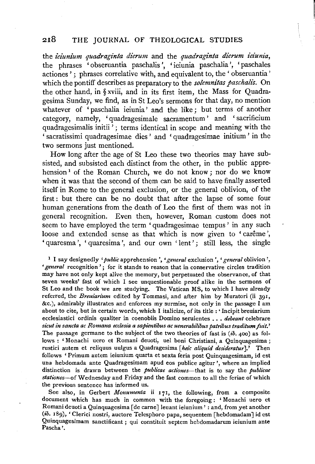the *ieiunium quadraginta dierum* and the *quadraginta dierum ieiunia,*  the phrases 'obseruantia paschalis ', 'ieiunia paschalia ', 'paschales actiones'; phrases correlative with, and equivalent to, the 'obseruantia' which the pontiff describes as preparatory to the *solemnitas paschalis.* On the other hand, in § xviii, and in its first item, the Mass for Quadragesima Sunday, we find, as in St Leo's sermons for that day, no mention whatever of 'paschalia ieiunia' and the like; but terms of another category, namely, 'quadragesimale sacramentum' and ' sacrificium quadragesimalis initii<sup>'</sup>; terms identical in scope and meaning with the ' sacratissimi quadragesimae dies ' and 'quadragesimae initium' in the two sermons just mentioned.

How long after the age of St Leo these two theories may have subsisted, and subsisted each distinct from the other, in the public apprehension<sup>1</sup> of the Roman Church, we do not know; nor do we know when it was that the second of them can be said to have finally asserted itself in Rome to the general exclusion, or the general oblivion, of the first: but there can be no doubt that after the lapse of some four human generations from the death of Leo the first of them was not in general recognition. Even then, however, Roman custom does not seem to have employed the term 'quadragesimae tempus ' in any such loose and extended sense as that which is now given to 'carême', ' quaresma', ' quaresima', and our own 'lent'; still less, the single

1 I say designedly *'public* apprehension ', *'general* exclusion ', *'general* oblivion', ' general recognition'; for it stands to reason that in conservative circles tradition may have not only kept alive the memory, but perpetuated the observance, of that seven weeks' fast of which I see unquestionable proof alike in the sermons of St Leo and the book we are studying. The Vatican MS, to which I have already referred, the *Breuiarium* edited by Tommasi, and after him by Muratori (ii 391, &c.), admirably illustrates and enforces my surmise, not only in the passage I am about to cite, but in certain words, which I italicize, of its title : • Incipit breuiarium ecclesiastici ordinis qualiter in coenobiis Domino seruientes .•• *debeant* celebrare *sicut in sancta ac Romana ecclesia a sapientibus ac uenerab17ibus patribus traditum fuit.'*  The passage germane to the subject of the two theories of fast is  $(ib. 400)$  as follows : ' Monachi uero et Romani deuoti, uel boni Christiani, a Quinquagesima ; rustici autem et reliquus uulgus a Quadragesima *[heic aliquid desideratur].'* Then follows ' Primum autem ieiunium quarta et sexta feria post Quinquagesimam, id est una hebdomada ante Quadragesimam apud eos publice agitur ', where an implied distinction is drawn between the *publicae actiones-that* is to say the *publicae stationes-of* Wednesday and Friday and the fast common to all the feriae of which the previous sentence has informed us.

See also, in Gerbert *Monumenta* ii 171, the following, from a composite document which has much in common with the foregoing : ' Monachi uero et Romani deuoti a Quinquagesima [de carne] leuant ieiunium' : and, from yet another *(ib.* 189), 'Clerici nostri, auctore Telesphoro papa, sequentem [hebdomadam] id est Quinquagesimam sanctificant ; qui constituit septem hebdomadarum ieiunium ante Pascha'.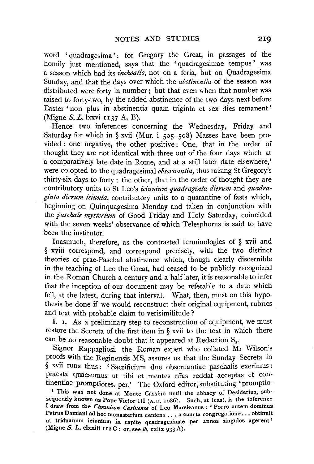word ' quadragesima': for Gregory the Great, in passages of the homily just mentioned, says that the 'quadragesimae tempus ' was a season which had its *inchoatio,* not on a feria, but on Quadragesima Sunday, and that the days over which the *abstinentia* of the season was distributed were forty in number; but that even when that number was raised to forty-two, by the added abstinence of the two days next before Easter 'non plus in abstinentia quam triginta et sex dies remanent' (Migne *S.* L. lxxvi II37 A, B).

Hence two inferences concerning the Wednesday, Friday and Saturday for which in § xvii (Mur. i 505-508) Masses have been provided ; one negative, the other positive : One, that in the order of thought they are not identical with three out of the four days which at a comparatively late date in Rome, and at a still later date elsewhere,<sup>1</sup> were co-opted to the quadragesimal *obseruantia,* thus raising St Gregory's thirty-six days to forty : the other, that in the order of thought they are contributory units to St Leo's *iez'unium quadraginta dierum* and *quadraginta dierum ieiunia,* contributory units to a quarantine of fasts which, beginning on Quinquagesima Monday and taken in conjunction with the *paschale mysterium* of Good Friday and Holy Saturday, coincided with the seven weeks' observance of which Telesphorus is said to have been the institutor.

Inasmuch, therefore, as the contrasted terminologies of § xvii and § xviii correspond, and correspond precisely, with the two distinct theories of prae-Paschal abstinence which, though clearly discernible in the teaching of Leo the Great, had ceased to be publicly recognized in the Roman Church a century and a half later, it is reasonable to infer that the inception of our document may be referable to a date which fell, at the latest, during that interval. What, then, must on this hypothesis be done if we would reconstruct their original equipment, rubrics and text with probable claim to verisimilitude ?

I. 1. As a preliminary step to reconstruction of equipment, we must restore the Secreta of the first item in § xvii to the text in which there can be no reasonable doubt that it appeared at Redaction  $S_2$ .

Signor Rappagliosi, the Roman expert who collated Mr Wilson's proofs with the Reginensis MS, assures us that the Sunday Secreta in § xvii runs thus: 'Sacrificium die obseruantiae paschalis exerimus: praesta quaesumus ut tibi et mentes nfas reddat acceptas et continentiae promptiores. per.' The Oxford editor, substituting 'promptio-

1 This was not done at Monte Cassino until the abbacy of Desiderius, subsequently known as Pope Victor III (A. D. 1086). Such, at least, is the inference I draw from the *Chronicon Casinense* of Leo Marsicanus : • Porro autem dommus Petrus Damiani ad hoc monasterium ueniens ... a cuncta congregatione ... obtinuit ut triduanum ieiunium in capite quadragesimae per annos singulos agerent' (Migne *S. L. clxxiii* 112 C: or, see *ib.* cxlix 933 A).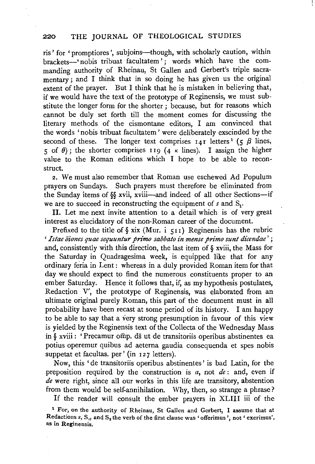ris' for 'promptiores ', subjoins-though, with scholarly caution, within brackets-' nobis tribuat facultatem'; words which have the commanding authority of Rheinau, St Gallen and Gerbert's triple sacramentary; and I think that in so doing he has given us the original extent of the prayer. But I think that he is mistaken in believing that, if we would have the text of the prototype of Reginensis, we must substitute the longer form for the shorter; because, but for reasons which cannot be duly set forth till the moment comes for discussing the literary methods of the cismontane editors, I am convinced that the words 'no bis tribuat facultatem' were deliberately exscinded by the second of these. The longer text comprises  $I_{4}I$  letters<sup>1</sup> (5  $\beta$  lines, 5 of  $\theta$ ); the shorter comprises 119 (4 K lines). I assign the higher value to the Roman editions which I hope to be able to reconstruct.

2. We must also remember that Roman use eschewed Ad Populum prayers on Sundays. Such prayers must therefore be eliminated from the Sunday items of§§ xvii, xviii-and indeed of all other Sections-if we are to succeed in reconstructing the equipment of  $s$  and  $S_t$ .

II. Let me next invite attention to a detail which is of very great interest as elucidatory of the non-Roman career of the document.

Prefixed to the title of  $\S$  xix (Mur. i  $\varsigma_{11}$ ) Reginensis has the rubric ' *Istae Oiones quae sequuntur primo sabbato in mense primo sunt dicendae'* ; and, consistently with this direction, the last item of  $\delta$  xviii, the Mass for the Saturday in Quadragesima week, is equipped like that for any ordinary feria in Lent : whereas in a duly provided Roman item for that day we should expect to find the numerous constituents proper to an ember Saturday. Hence it follows that, if, as my hypothesis postulates, Redaction V', the prototype of Reginensis, was elaborated from an ultimate original purely Roman, this part of the document must in all probability have been recast at some period of its history. I am happy to be able to say that a very strong presumption in favour of this view is yielded by the Reginensis text of the Collecta of the Wednesday Mass in § xviii : ' Precamur omp. ds ut de transitoriis operibus abstinentes ea potius operemur quibus ad aeterna gaudia consequenda et spes nobis suppetat et facultas. per' (in 127 letters).

Now, this 'de transitoriis operibus abstinentes' is bad Latin, for the preposition required by the construction is *a,* not *de* : and, even if *de* were right, since all our works in this life are transitory, abstention from them would be self-annihilation. Why, then, so strange a phrase?

If the reader will consult the ember prayers in XLIII iii of the

<sup>1</sup> For, on the authority of Rheinau, St Gallen and Gerbert, I assume that at Redactions  $s$ ,  $S_1$ , and  $S_2$  the verb of the first clause was 'offerimus', not 'exerimus', as in Reginensis.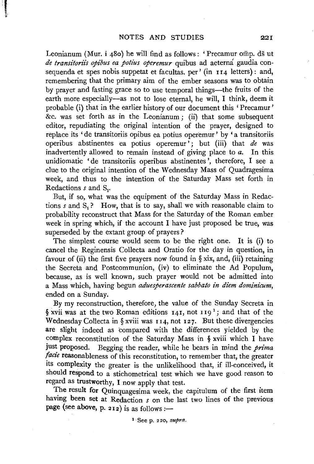Leonianum (Mur. i 480) he will find as follows: 'Precamur omp. ds ut de transitoriis opibus ea potius operemur quibus ad aeterna gaudia consequenda et spes nobis suppetat et facultas, per' (in 114 letters) : and, remembering that the primary aim of the ember seasons was to obtain by prayer and fasting grace so to use temporal things-the fruits of the earth more especially---as not to lose eternal, he will, I think, deem it probable (i) that in the earlier history of our document this 'Precamur' &c. was set forth as in the Leonianum; (ii) that some subsequent editor, repudiating the original intention of the prayer, designed to replace its ' de transitoriis opibus ea potius operemur ' by 'a transitoriis operibus abstinentes ea potius operemur'; but (iii) that *de* was inadvertently allowed to remain instead of giving place to *a.* In this unidiomatic 'de transitoriis operibus abstinentes ', therefore, I see a clue to the original intention of the Wednesday Mass of Quadragesima week, and thus to the intention of the Saturday Mass set forth in Redactions *s* and S<sub>1</sub>.

But, if so, what was the equipment of the Saturday Mass in Redactions  $s$  and  $S_1$ ? How, that is to say, shall we with reasonable claim to probability reconstruct that Mass for the Saturday of the Roman ember week in spring which, if the account I have just proposed be true, was superseded by the extant group of prayers?

The simplest course would seem to be the right one. It is (i) to cancel the Reginensis Collecta and Oratio for the day in question, in favour of (ii) the first five prayers now found in  $\S$  xix, and, (iii) retaining the Secreta and Postcommunion, (iv) to eliminate the Ad Populum, because, as is well known, such prayer would not be admitted into a Mass which, having begun *aduesperascente sabbato in diem dominicum,*  ended on a Sunday.

By my reconstruction, therefore, the value of the Sunday Secreta in § xvii was at the two Roman editions  $14I$ , not  $119<sup>1</sup>$ ; and that of the Wednesday Collecta in  $\S$  xviii was 114, not 127. But these divergencies are slight indeed as compared with the differences yielded by the complex reconstitution of the Saturday Mass in § xviii which I have just proposed. Begging the reader, while he bears in mind the *prima fade* reasonableness of this reconstitution, to remember that, the greater its complexity the greater is the unlikelihood that, if ill-conceived, it should respond to a stichometrical test which we have good reason to regard as trustworthy, I now apply that test.

The result for Quinquagesima week, the capitulum of the first item having been set at Redaction *s* on the last two lines of the previous page (see above, p. 212) is as follows :-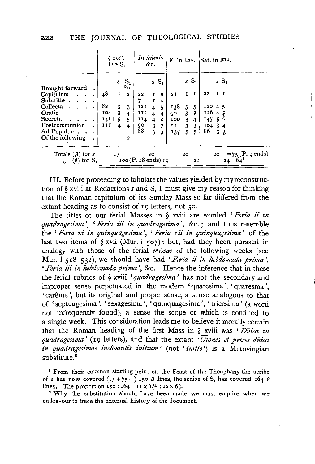|                             | § xvii.<br>lma S.   |                            | In ieiunio<br>&c. |              | $F.$ in $\mathbb{I}^{\text{ma}}$ .         |                  | Sat. in lma.                                       |                |              |                          |                    |
|-----------------------------|---------------------|----------------------------|-------------------|--------------|--------------------------------------------|------------------|----------------------------------------------------|----------------|--------------|--------------------------|--------------------|
| Brought forward             | $\mathbf{s}$        | $S_{1}$<br>80 <sub>o</sub> |                   | $sS_1$       |                                            |                  |                                                    | $S_{1}$        |              |                          | $sS_1$             |
| Capitulum                   | 48<br>$\ast$        | $\overline{a}$             | 22                | $\mathbf I$  | $\ast$                                     | 2 I              | 1                                                  | 1              | 22           | $I$ I                    |                    |
| Sub-title.                  |                     |                            | 7                 | $\mathbf{I}$ | $\ast$                                     |                  |                                                    |                |              |                          |                    |
| Collecta<br>Oratio.         | 82<br>3<br>3<br>104 | 3                          | I22<br>112        | $4\quad 5$   |                                            | 138              | 5                                                  | 5<br>3         | 12045<br>126 |                          |                    |
| Secreta                     | $141 + 5$           | 4<br>5                     | 114               | 4<br>4       | $\overline{\bf{4}}$<br>$\ddot{\mathbf{4}}$ | 90<br><b>IOO</b> | $\overline{\mathbf{3}}$<br>$\overline{\mathbf{3}}$ | $\overline{4}$ | 147          | $\overline{\bf{4}}$<br>5 | o                  |
| Postcommunion               | 111<br>4            | 4                          | 90                | 3            | 3                                          | 81               | 3                                                  | 3              | 104          | 3                        | -4                 |
| Ad Populum.                 |                     |                            | 88                | 3            | 3                                          | 137              | 5                                                  | 5              | 86           | 3 <sub>3</sub>           |                    |
| Of the following            |                     | $\overline{a}$             |                   |              |                                            |                  |                                                    |                |              |                          |                    |
| Totals $(\beta)$ for s      | 15                  |                            |                   | 20           |                                            |                  | 20 <sub>o</sub>                                    |                |              | 20                       | $= 75$ (P. 9 ends) |
| $(\theta)$ for $S_1$ .<br>, | 100 (P. 18 ends) 19 |                            |                   | 2 I          |                                            |                  |                                                    | $24 = 64$      |              |                          |                    |

III. Before proceeding to tabulate the values yielded by my reconstruction of  $\S$  xviii at Redactions *s* and  $S<sub>1</sub>$  I must give my reason for thinking that the Roman capitulum of its Sunday Mass so far differed from the extant heading as to consist of 19 letters, not 50.

The titles of our ferial Masses in § xviii are worded *'Feria* ii *in quadragesima'*, '*Feria iii in quadragesima'*, &c.; and thus resemble the ' *Feria vi in quinquagesima* ', ' *Feria vii in quinquagesima* ' of the last two items of  $\S$  xvii (Mur. i 507): but, had they been phrased in analogy with those of the ferial *missae* of the following weeks (see Mur. i 518-532), we should have had '*Feria ii in hebdomada prima'*, *' Feria iii in hebdomada prima'*, &c. Hence the inference that in these the ferial rubrics of § xviii *'quadragesima'* has not the secondary and improper sense perpetuated in the modern 'quaresima ', ' quaresma ', 'carême', but its original and proper sense, a sense analogous to that of 'septuagesima ', 'sexagesima ', 'quinquagesima ', 'tricesima' (a word not infrequently found), a sense the scope of which is confined to a single week. This consideration leads me to believe it morally certain that the Roman heading of the first Mass in § xviii was *'Dnica in quadragesima* ' (19 letters), and that the extant ' *Oiones et preces dnica in quadragesimae inchoantis initium* ' (not ' *initio* ') is a Merovingian substitute.<sup>2</sup>

<sup>1</sup> From their common starting-point on the Feast of the Theophany the scribe of *s* has now covered (75 + 75 = ) 150  $\beta$  lines, the scribe of S<sub>1</sub> has covered 164  $\theta$ lines. The proportion  $I_50 : 164 = I1 \times 6_{T1}^9 : 12 \times 6_8^5$ .

<sup>2</sup> Why the substitution should have been made we must enquire when we endeavour to trace the external history of the document.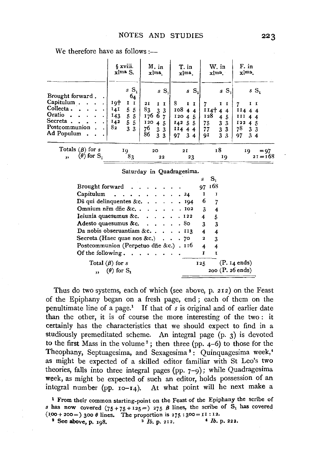We therefore have as follows: $-\frac{1}{2}$ 

|                                                                                                                                 | § xviii.<br>xlma <sub>S.</sub>                                                                                    | M. in<br>xlma                                                                                                                 | T. in<br>xlma.                                                                                 | W. in<br>xlm <sup>a</sup> .                                                                                        | F. in<br>xlma.                                                                                  |
|---------------------------------------------------------------------------------------------------------------------------------|-------------------------------------------------------------------------------------------------------------------|-------------------------------------------------------------------------------------------------------------------------------|------------------------------------------------------------------------------------------------|--------------------------------------------------------------------------------------------------------------------|-------------------------------------------------------------------------------------------------|
| Brought forward.<br>Capitulum.<br>$\bullet$<br>Collecta.<br>Oratio<br>$\bullet$<br>Secreta.<br>٠<br>Postcommunion<br>Ad Populum | $sS_1$<br>6 <sub>4</sub><br>19†<br>$I$ I<br>14I<br>5<br>-5<br>$^{143}$<br>5<br>5<br>142<br>5<br>5<br>82<br>3<br>3 | $sS_1$<br>21<br>1 I<br>83<br>3 <sub>3</sub><br>176<br>6<br>7<br>120<br>4 <sub>5</sub><br>76<br>86<br>3 <sub>3</sub><br>3<br>3 | $S_{1}$<br>$\mathbf{s}$<br>8<br>$I$ $I$<br>10844<br>12045<br>$I_4255$<br>11444<br>97<br>3<br>4 | sS<br>II<br>$114+$<br>4<br>-4<br>128<br>5<br>4<br>75<br>3<br>-3<br>77<br>3<br>3<br>3<br>9I<br>$\boldsymbol{\beta}$ | $sS_i$<br>II<br>11444<br>III $44$<br>I22<br>$4\overline{5}$<br>78<br>3 <sub>3</sub><br>34<br>97 |
| Totals $(\beta)$ for s<br>$(\theta)$ for $S_1$<br>, ,                                                                           | 19<br>83                                                                                                          | 20<br>22                                                                                                                      | 2 I<br>23                                                                                      | 18<br>19                                                                                                           | $= 97$<br>19<br>$21 = 168$                                                                      |

Saturday in Quadragesima.

|                                                           |  |  | s              |        |                          |
|-----------------------------------------------------------|--|--|----------------|--------|--------------------------|
| Brought forward $\ldots$ , $\ldots$                       |  |  |                | 97 168 |                          |
| Capitulum 24                                              |  |  | I              | I      |                          |
| Ds qui delinquentes &c. $\ldots$ $\ldots$ $\ldots$ 194    |  |  | 6              | 7      |                          |
| Omnium n $\bar{r}$ m d $\bar{n}$ e &c $\cdots$ . 102      |  |  | $\mathbf{3}$   | 4      |                          |
| Ieiunia quaesumus &c. $\cdot \cdot \cdot \cdot \cdot 122$ |  |  | 4              | 5      |                          |
| Adesto quaesumus &c. $\ldots$ $\ldots$ 80                 |  |  | 3 <sup>7</sup> | 3      |                          |
| Da nobis obseruantiam &c. $\ldots$ $\ldots$ 113           |  |  | 4              | 4      |                          |
| Secreta (Haec quae nos &c.) $\cdot \cdot \cdot$ 70        |  |  | 2              | 3      |                          |
| Postcommunion (Perpetuo dñe &c.) . $116$                  |  |  | $\overline{4}$ | 4      |                          |
| Of the following.<br>the contract of the contract of      |  |  |                | τ      |                          |
| Total $(\beta)$ for s                                     |  |  | 125            |        | (P. I <sub>4</sub> ends) |
| $\theta$ for $S_1$                                        |  |  |                |        | $200$ (P. $26$ ends)     |
|                                                           |  |  |                |        |                          |

Thus do two systems, each of which (see above, p. 212) on the Feast of the Epiphany began on a fresh page, end ; each of them on the penultimate line of a page.1 If that of *s* is original and of earlier date than the other, it is of course the more interesting of the two : it certainly has the characteristics that we should expect to find in a studiously premeditated scheme. An integral page (p. 3) is devoted to the first Mass in the volume<sup>2</sup>; then three (pp.  $4-6$ ) to those for the Theophany, Septuagesima, and Sexagesima<sup>3</sup>: Quinquagesima week,<sup>4</sup> as might be expected of a skilled editor familiar with St Leo's two theories, falls into three integral pages (pp.  $7-9$ ); while Quadragesima week, as might be expected of such an editor, holds possession of an integral number (pp.  $10-x_4$ ). At what point will he next make a

<sup>1</sup> From their common starting-point on the Feast of the Epiphany the scribe of *s* has now covered  $(75+75+125=)$  275  $\beta$  lines, the scribe of S<sub>1</sub> has covered 1.00 + 200 =) 300 *8* lines. The proportion is 275 : 300 = II : I2.<br>
<sup>2</sup> See above, p. 198. • *lb.* p. 212. • *lb.* p. 222.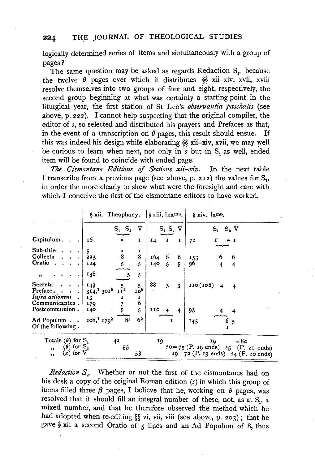logically determined series of items and simultaneously with a group of pages?

The same question may be asked as regards Redaction S<sub>1</sub>, because the twelve  $\theta$  pages over which it distributes  $\S$  xii-xiv, xvii, xviii resolve themselves into two groups of four and eight, respectively, the second group beginning at what was certainly a starting-point in the liturgical year, the first station of St Leo's *obseruantia paschalis* (see above, p. 222). I cannot help suspecting that the original compiler, the editor of *s,* so selected and distributed his prayers and Prefaces as that, in the event of a transcription on  $\theta$  pages, this result should ensue. If this was indeed his design while elaborating §§ xii-xiv, xvii, we may well be curious to learn when next, not only in *s* but in S<sub>1</sub> as well, ended item will be found to coincide with ended page.

*The Cismontane Editions of Sections xii-xiv.* In the next table I transcribe from a previous page (see above, p. 212) the values for  $S_1$ , in order the more clearly to shew what were the foresight and care with which I conceive the first of the cismontane editors to have worked.

|                                                                                                            | § xii. Theophany. |                      |              | $\sin i$ , $lxx$ <sup>ma</sup> , |                     |        | $\sin \lim_{x \to \infty}$                                                                        |  |  |  |
|------------------------------------------------------------------------------------------------------------|-------------------|----------------------|--------------|----------------------------------|---------------------|--------|---------------------------------------------------------------------------------------------------|--|--|--|
|                                                                                                            |                   | $S_1$ $S_2$          | v            |                                  | $S_1 S_2 V$         |        | $S_1$ $S_2$ V                                                                                     |  |  |  |
| Capitulum.                                                                                                 | 16                |                      | $\mathbf{I}$ | I <sub>4</sub>                   | т.                  | I      | 72<br>$\ast$ I                                                                                    |  |  |  |
| Sub-title.<br>Collecta.<br>Oratio.<br>$\sim$                                                               | 5<br>223<br>124   | $\frac{1}{8}$<br>5   | 1<br>8<br>5  | 164<br>140                       | 6<br>$\overline{5}$ | 6<br>5 | 6<br>153<br>96<br>$\overline{4}$                                                                  |  |  |  |
| , ,                                                                                                        | 138               |                      | 5            |                                  |                     |        |                                                                                                   |  |  |  |
| Secreta<br>Preface                                                                                         | 143<br>314, 13012 | 5<br>11 <sup>1</sup> | 5<br>$I_0^2$ | 88                               | 3                   | 3      | 110(108)<br>$\overline{\mathbf{4}}$<br>$\overline{4}$                                             |  |  |  |
| Infra actionem<br>Communicantes.                                                                           | 13<br>179         |                      | 1<br>6       |                                  |                     |        |                                                                                                   |  |  |  |
| Postcommunion.                                                                                             | 140               |                      | 5            | 110                              |                     | 4      | 93                                                                                                |  |  |  |
| Ad Populum<br>Of the following.                                                                            | $208, 1179^2$     | -81                  | 62           |                                  |                     |        | 145<br>6<br>5                                                                                     |  |  |  |
| Totals ( $\theta$ ) for $S_i$<br>$(\theta)$ for $S_2$<br>$\overline{\mathbf{z}}$<br>$(\kappa)$ for V<br>,, |                   | 4 <sup>2</sup><br>55 | 53           | 19                               |                     |        | $=80$<br>10<br>$20 = 75$ (P. 19 ends) $25$ (P. 20 ends)<br>$19 = 72$ (P. 19 ends) 24 (P. 20 ends) |  |  |  |
|                                                                                                            |                   |                      |              |                                  |                     |        |                                                                                                   |  |  |  |

*Redaction* S<sub>2</sub>. Whether or not the first of the cismontanes had on his desk a copy of the original Roman edition *(s)* in which this group of items filled three  $\beta$  pages, I believe that he, working on  $\theta$  pages, was resolved that it should fill an integral number of these, not, as at  $S_1$ , a mixed number, and that he therefore observed the method which he had adopted when re-editing §§ vi, vii, viii (see above, p. 203); that he gave  $\S$  xii a second Oratio of 5 lines and an Ad Populum of 8, thus